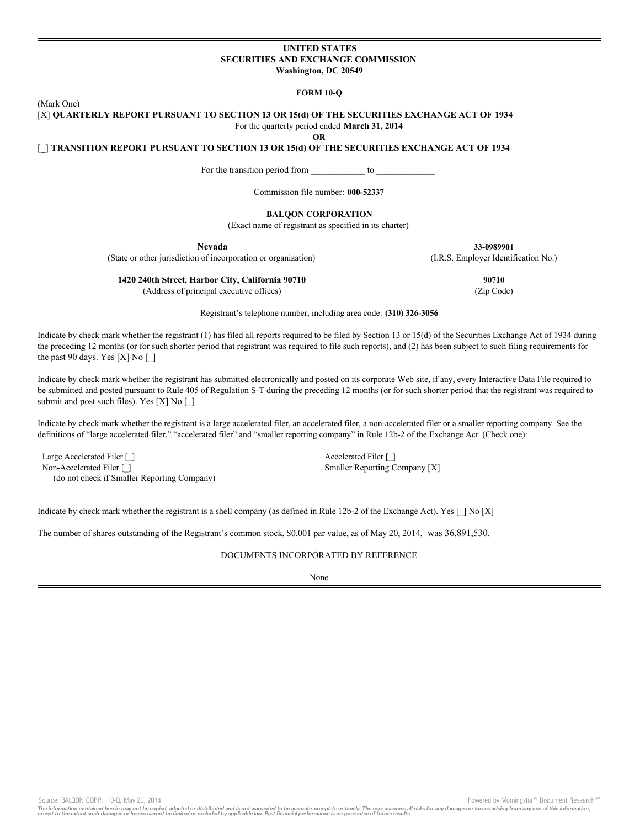### **UNITED STATES SECURITIES AND EXCHANGE COMMISSION Washington, DC 20549**

**FORM 10-Q**

(Mark One)

[X] **QUARTERLY REPORT PURSUANT TO SECTION 13 OR 15(d) OF THE SECURITIES EXCHANGE ACT OF 1934** For the quarterly period ended **March 31, 2014**

**OR**

[\_] **TRANSITION REPORT PURSUANT TO SECTION 13 OR 15(d) OF THE SECURITIES EXCHANGE ACT OF 1934**

For the transition period from \_\_\_\_\_\_\_\_\_\_\_\_\_ to \_

Commission file number: **000-52337**

# **BALQON CORPORATION**

(Exact name of registrant as specified in its charter)

**Nevada**

**33-0989901** (I.R.S. Employer Identification No.)

(State or other jurisdiction of incorporation or organization)

**1420 240th Street, Harbor City, California 90710**

(Address of principal executive offices)

**90710** (Zip Code)

Registrant's telephone number, including area code: **(310) 326-3056**

Indicate by check mark whether the registrant (1) has filed all reports required to be filed by Section 13 or 15(d) of the Securities Exchange Act of 1934 during the preceding 12 months (or for such shorter period that registrant was required to file such reports), and (2) has been subject to such filing requirements for the past 90 days. Yes [X] No [\_]

Indicate by check mark whether the registrant has submitted electronically and posted on its corporate Web site, if any, every Interactive Data File required to be submitted and posted pursuant to Rule 405 of Regulation S-T during the preceding 12 months (or for such shorter period that the registrant was required to submit and post such files). Yes [X] No [\_]

Indicate by check mark whether the registrant is a large accelerated filer, an accelerated filer, a non-accelerated filer or a smaller reporting company. See the definitions of "large accelerated filer," "accelerated filer" and "smaller reporting company" in Rule 12b-2 of the Exchange Act. (Check one):

Large Accelerated Filer [ ] Accelerated Filer [ ] Non-Accelerated Filer [ ] (do not check if Smaller Reporting Company)

Smaller Reporting Company [X]

Indicate by check mark whether the registrant is a shell company (as defined in Rule 12b-2 of the Exchange Act). Yes [ ] No [X]

The number of shares outstanding of the Registrant's common stock, \$0.001 par value, as of May 20, 2014, was 36,891,530.

# DOCUMENTS INCORPORATED BY REFERENCE

None

Source: BALQON CORP., 10-Q, May 20, 2014 **Powered by Morningstar® Document Research** <sup>5M</sup> Corp.

The information contained herein may not be copied, adapted or distributed and is not warranted to be accurate, complete or timely. The user assumes all risks for any damages or losses arising from any use of this informat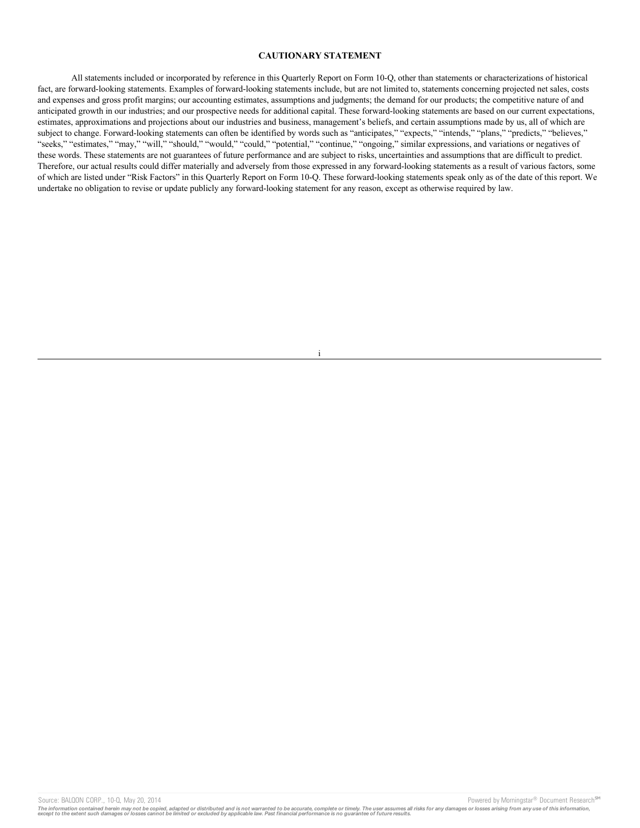### **CAUTIONARY STATEMENT**

All statements included or incorporated by reference in this Quarterly Report on Form 10-Q, other than statements or characterizations of historical fact, are forward-looking statements. Examples of forward-looking statements include, but are not limited to, statements concerning projected net sales, costs and expenses and gross profit margins; our accounting estimates, assumptions and judgments; the demand for our products; the competitive nature of and anticipated growth in our industries; and our prospective needs for additional capital. These forward-looking statements are based on our current expectations, estimates, approximations and projections about our industries and business, management's beliefs, and certain assumptions made by us, all of which are subject to change. Forward-looking statements can often be identified by words such as "anticipates," "expects," "intends," "plans," "predicts," "believes," "seeks," "estimates," "may," "will," "should," "would," "could," "potential," "continue," "ongoing," similar expressions, and variations or negatives of these words. These statements are not guarantees of future performance and are subject to risks, uncertainties and assumptions that are difficult to predict. Therefore, our actual results could differ materially and adversely from those expressed in any forward-looking statements as a result of various factors, some of which are listed under "Risk Factors" in this Quarterly Report on Form 10-Q. These forward-looking statements speak only as of the date of this report. We undertake no obligation to revise or update publicly any forward-looking statement for any reason, except as otherwise required by law.

i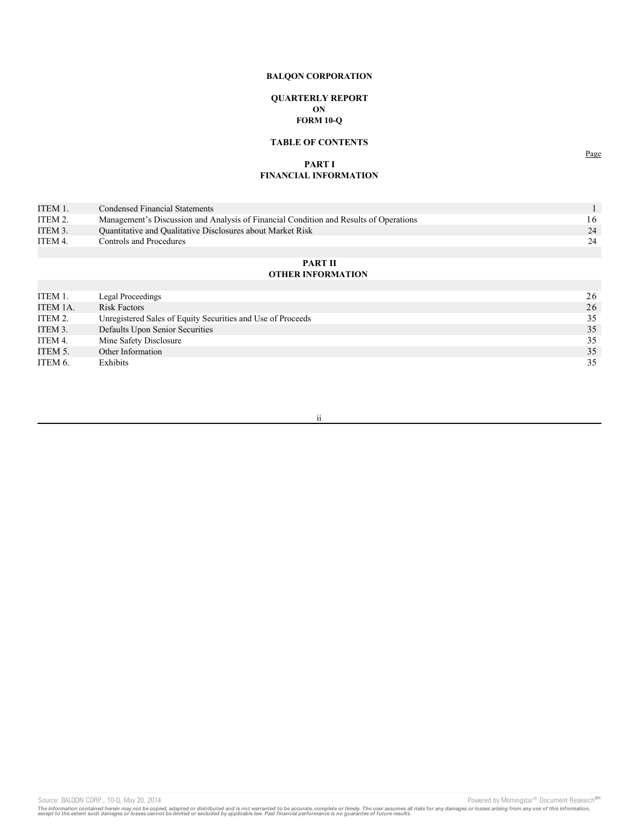# **QUARTERLY REPORT ON FORM 10-Q**

# **TABLE OF CONTENTS**

# **PART I FINANCIAL INFORMATION**

| ITEM 1. | Condensed Financial Statements                                                        |     |
|---------|---------------------------------------------------------------------------------------|-----|
| ITEM 2. | Management's Discussion and Analysis of Financial Condition and Results of Operations | 16. |
| ITEM 3. | Quantitative and Qualitative Disclosures about Market Risk                            | 24  |
| ITEM 4. | Controls and Procedures                                                               | 24  |
|         |                                                                                       |     |

## **PART II OTHER INFORMATION**

| ITEM 1.  | Legal Proceedings                                           | 26 |
|----------|-------------------------------------------------------------|----|
| ITEM 1A. | <b>Risk Factors</b>                                         | 26 |
| ITEM 2.  | Unregistered Sales of Equity Securities and Use of Proceeds | 35 |
| ITEM 3.  | Defaults Upon Senior Securities                             | 35 |
| ITEM 4.  | Mine Safety Disclosure                                      | 35 |
| ITEM 5.  | Other Information                                           | 35 |
| ITEM 6.  | Exhibits                                                    | 35 |
|          |                                                             |    |

ii

Source: BALQON CORP., 10-Q, May 20, 2014 **Powered by Morningstar®** Document Research SM

Page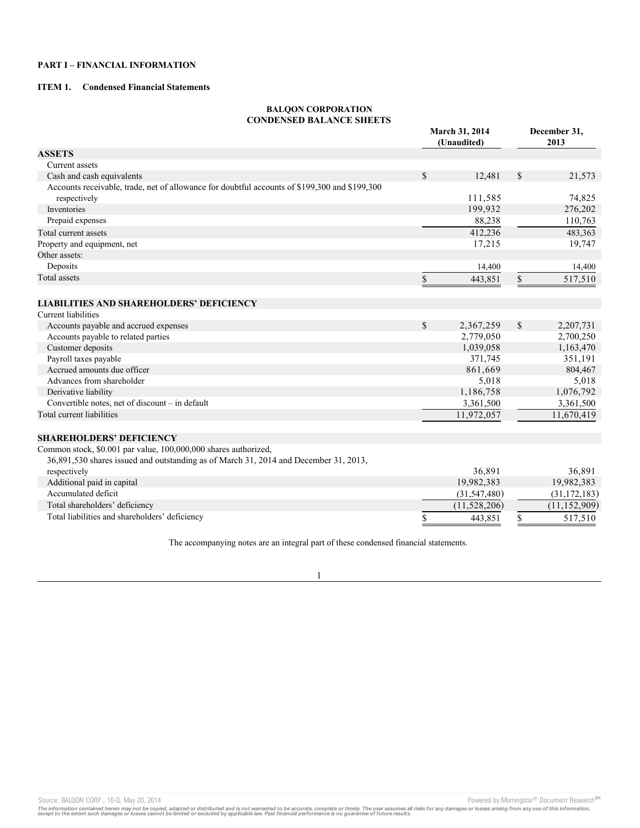# **PART I – FINANCIAL INFORMATION**

# **ITEM 1. Condensed Financial Statements**

# **BALQON CORPORATION CONDENSED BALANCE SHEETS**

|                                                                                               | March 31, 2014<br>(Unaudited) |                      | December 31,<br>2013 |                      |
|-----------------------------------------------------------------------------------------------|-------------------------------|----------------------|----------------------|----------------------|
| <b>ASSETS</b>                                                                                 |                               |                      |                      |                      |
| Current assets                                                                                |                               |                      |                      |                      |
| Cash and cash equivalents                                                                     | $\mathbb{S}$                  | 12,481               | $\mathbf S$          | 21,573               |
| Accounts receivable, trade, net of allowance for doubtful accounts of \$199,300 and \$199,300 |                               |                      |                      |                      |
| respectively                                                                                  |                               | 111,585              |                      | 74,825               |
| Inventories                                                                                   |                               | 199,932              |                      | 276,202              |
| Prepaid expenses                                                                              |                               | 88,238               |                      | 110,763              |
| Total current assets                                                                          |                               | 412,236              |                      | 483,363              |
| Property and equipment, net                                                                   |                               | 17,215               |                      | 19,747               |
| Other assets:                                                                                 |                               |                      |                      |                      |
| Deposits                                                                                      |                               | 14,400               |                      | 14,400               |
| <b>Total</b> assets                                                                           | \$                            | 443,851              | \$                   | 517,510              |
|                                                                                               |                               |                      |                      |                      |
| <b>LIABILITIES AND SHAREHOLDERS' DEFICIENCY</b>                                               |                               |                      |                      |                      |
| Current liabilities                                                                           |                               |                      |                      |                      |
| Accounts payable and accrued expenses                                                         | $\mathbb{S}$                  | 2,367,259            | \$                   | 2,207,731            |
| Accounts payable to related parties                                                           |                               | 2,779,050            |                      | 2,700,250            |
| Customer deposits                                                                             |                               | 1,039,058            |                      | 1,163,470            |
| Payroll taxes payable                                                                         |                               | 371,745              |                      | 351,191              |
| Accrued amounts due officer                                                                   |                               | 861,669              |                      | 804,467              |
| Advances from shareholder                                                                     |                               | 5,018                |                      | 5,018                |
| Derivative liability                                                                          |                               | 1,186,758            |                      | 1,076,792            |
| Convertible notes, net of discount - in default                                               |                               | 3,361,500            |                      | 3,361,500            |
| Total current liabilities                                                                     |                               | 11,972,057           |                      | 11,670,419           |
|                                                                                               |                               |                      |                      |                      |
| <b>SHAREHOLDERS' DEFICIENCY</b>                                                               |                               |                      |                      |                      |
| Common stock, \$0.001 par value, 100,000,000 shares authorized,                               |                               |                      |                      |                      |
| 36,891,530 shares issued and outstanding as of March 31, 2014 and December 31, 2013,          |                               |                      |                      |                      |
| respectively                                                                                  |                               | 36,891<br>19,982,383 |                      | 36,891<br>19,982,383 |
| Additional paid in capital<br>Accumulated deficit                                             |                               |                      |                      |                      |
|                                                                                               |                               | (31, 547, 480)       |                      | (31, 172, 183)       |
| Total shareholders' deficiency                                                                |                               | (11,528,206)         |                      | (11, 152, 909)       |
| Total liabilities and shareholders' deficiency                                                | \$                            | 443,851              | \$                   | 517,510              |

The accompanying notes are an integral part of these condensed financial statements.

1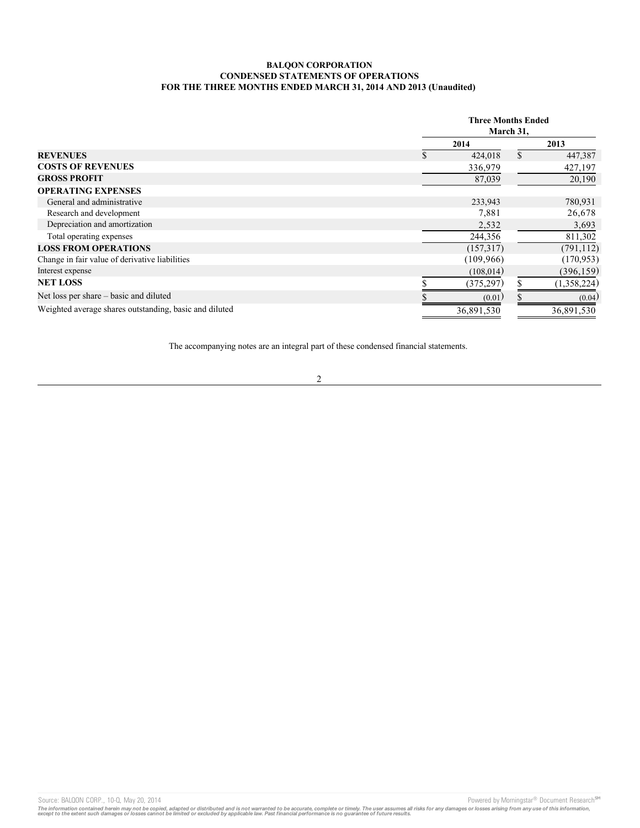# **BALQON CORPORATION CONDENSED STATEMENTS OF OPERATIONS FOR THE THREE MONTHS ENDED MARCH 31, 2014 AND 2013 (Unaudited)**

|                                                        | <b>Three Months Ended</b><br>March 31, |  |             |  |
|--------------------------------------------------------|----------------------------------------|--|-------------|--|
|                                                        | 2014                                   |  | 2013        |  |
| <b>REVENUES</b>                                        | 424,018                                |  | 447,387     |  |
| <b>COSTS OF REVENUES</b>                               | 336,979                                |  | 427,197     |  |
| <b>GROSS PROFIT</b>                                    | 87,039                                 |  | 20,190      |  |
| <b>OPERATING EXPENSES</b>                              |                                        |  |             |  |
| General and administrative                             | 233,943                                |  | 780,931     |  |
| Research and development                               | 7,881                                  |  | 26,678      |  |
| Depreciation and amortization                          | 2,532                                  |  | 3,693       |  |
| Total operating expenses                               | 244,356                                |  | 811,302     |  |
| <b>LOSS FROM OPERATIONS</b>                            | (157,317)                              |  | (791, 112)  |  |
| Change in fair value of derivative liabilities         | (109, 966)                             |  | (170, 953)  |  |
| Interest expense                                       | (108, 014)                             |  | (396, 159)  |  |
| <b>NET LOSS</b>                                        | (375, 297)                             |  | (1,358,224) |  |
| Net loss per share – basic and diluted                 | (0.01)                                 |  | (0.04)      |  |
| Weighted average shares outstanding, basic and diluted | 36,891,530                             |  | 36,891,530  |  |

The accompanying notes are an integral part of these condensed financial statements.

2

Source: BALQON CORP., 10-Q, May 20, 2014 2011 19:00 19:00 19:00 19:00 19:00 19:00 19:00 19:00 19:00 19:00 19:00 19:00 19:00 19:00 19:00 19:00 19:00 19:00 19:00 19:00 19:00 19:00 19:00 19:00 19:00 19:00 19:00 19:00 19:00 19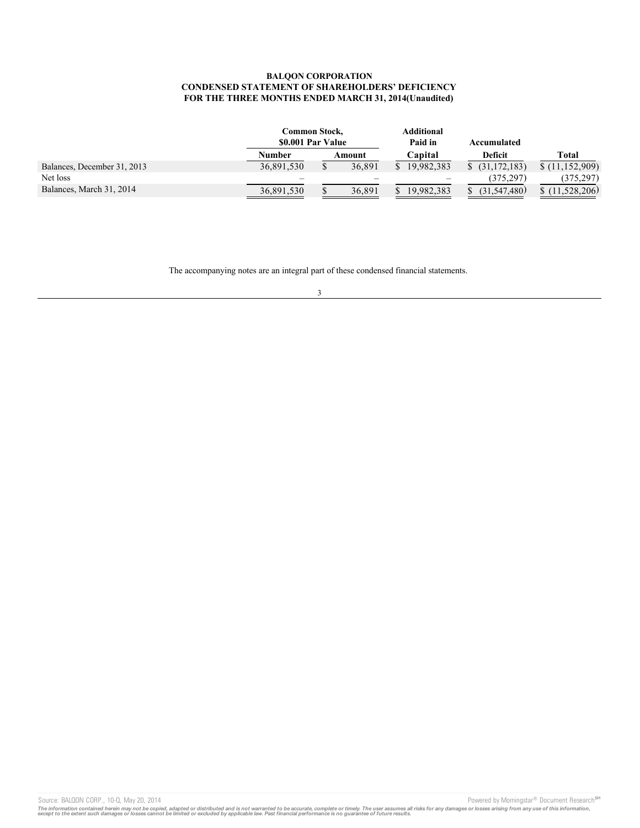# **BALQON CORPORATION CONDENSED STATEMENT OF SHAREHOLDERS' DEFICIENCY FOR THE THREE MONTHS ENDED MARCH 31, 2014(Unaudited)**

|                             | Common Stock,<br>\$0.001 Par Value |  | <b>Additional</b><br>Paid in |  |            | Accumulated |              |                |
|-----------------------------|------------------------------------|--|------------------------------|--|------------|-------------|--------------|----------------|
|                             | Number                             |  | Amount                       |  | Capital    |             | Deficit      | <b>Total</b>   |
| Balances, December 31, 2013 | 36,891,530                         |  | 36,891                       |  | 19.982.383 |             | (31.172.183) | \$(11,152,909) |
| Net loss                    |                                    |  |                              |  |            |             | (375.297)    | (375.297)      |
| Balances, March 31, 2014    | 36,891,530                         |  | 36.891                       |  | 19.982.383 |             | (31.547.480) | 11.528.206)    |

The accompanying notes are an integral part of these condensed financial statements.

### 3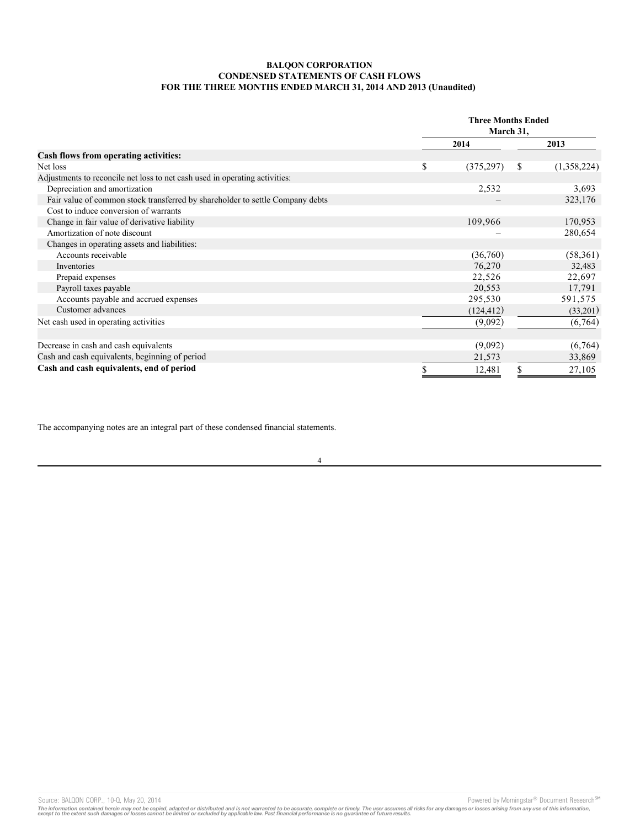# **BALQON CORPORATION CONDENSED STATEMENTS OF CASH FLOWS FOR THE THREE MONTHS ENDED MARCH 31, 2014 AND 2013 (Unaudited)**

|                                                                               | <b>Three Months Ended</b><br>March 31, |            |    |             |
|-------------------------------------------------------------------------------|----------------------------------------|------------|----|-------------|
|                                                                               |                                        | 2014       |    | 2013        |
| Cash flows from operating activities:                                         |                                        |            |    |             |
| Net loss                                                                      | \$                                     | (375, 297) | \$ | (1,358,224) |
| Adjustments to reconcile net loss to net cash used in operating activities:   |                                        |            |    |             |
| Depreciation and amortization                                                 |                                        | 2,532      |    | 3,693       |
| Fair value of common stock transferred by shareholder to settle Company debts |                                        |            |    | 323,176     |
| Cost to induce conversion of warrants                                         |                                        |            |    |             |
| Change in fair value of derivative liability                                  |                                        | 109,966    |    | 170,953     |
| Amortization of note discount                                                 |                                        |            |    | 280,654     |
| Changes in operating assets and liabilities:                                  |                                        |            |    |             |
| Accounts receivable                                                           |                                        | (36,760)   |    | (58, 361)   |
| Inventories                                                                   |                                        | 76,270     |    | 32,483      |
| Prepaid expenses                                                              |                                        | 22,526     |    | 22,697      |
| Payroll taxes payable                                                         |                                        | 20,553     |    | 17,791      |
| Accounts payable and accrued expenses                                         |                                        | 295,530    |    | 591,575     |
| Customer advances                                                             |                                        | (124, 412) |    | (33,201)    |
| Net cash used in operating activities                                         |                                        | (9,092)    |    | (6,764)     |
| Decrease in cash and cash equivalents                                         |                                        | (9,092)    |    | (6,764)     |
| Cash and cash equivalents, beginning of period                                |                                        | 21,573     |    | 33,869      |
| Cash and cash equivalents, end of period                                      |                                        | 12,481     | S  | 27,105      |

The accompanying notes are an integral part of these condensed financial statements.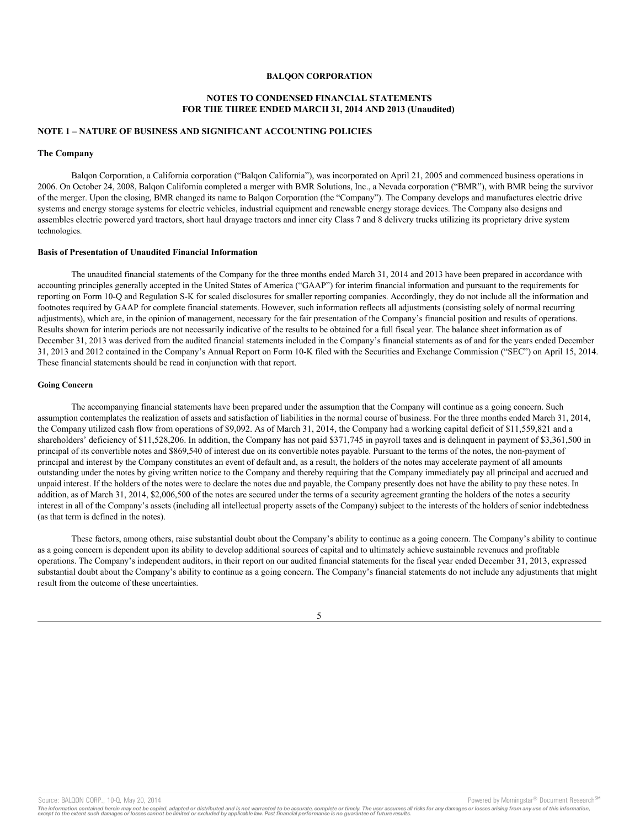# **NOTES TO CONDENSED FINANCIAL STATEMENTS FOR THE THREE ENDED MARCH 31, 2014 AND 2013 (Unaudited)**

### **NOTE 1 – NATURE OF BUSINESS AND SIGNIFICANT ACCOUNTING POLICIES**

#### **The Company**

Balqon Corporation, a California corporation ("Balqon California"), was incorporated on April 21, 2005 and commenced business operations in 2006. On October 24, 2008, Balqon California completed a merger with BMR Solutions, Inc., a Nevada corporation ("BMR"), with BMR being the survivor of the merger. Upon the closing, BMR changed its name to Balqon Corporation (the "Company"). The Company develops and manufactures electric drive systems and energy storage systems for electric vehicles, industrial equipment and renewable energy storage devices. The Company also designs and assembles electric powered yard tractors, short haul drayage tractors and inner city Class 7 and 8 delivery trucks utilizing its proprietary drive system technologies.

#### **Basis of Presentation of Unaudited Financial Information**

The unaudited financial statements of the Company for the three months ended March 31, 2014 and 2013 have been prepared in accordance with accounting principles generally accepted in the United States of America ("GAAP") for interim financial information and pursuant to the requirements for reporting on Form 10-Q and Regulation S-K for scaled disclosures for smaller reporting companies. Accordingly, they do not include all the information and footnotes required by GAAP for complete financial statements. However, such information reflects all adjustments (consisting solely of normal recurring adjustments), which are, in the opinion of management, necessary for the fair presentation of the Company's financial position and results of operations. Results shown for interim periods are not necessarily indicative of the results to be obtained for a full fiscal year. The balance sheet information as of December 31, 2013 was derived from the audited financial statements included in the Company's financial statements as of and for the years ended December 31, 2013 and 2012 contained in the Company's Annual Report on Form 10-K filed with the Securities and Exchange Commission ("SEC") on April 15, 2014. These financial statements should be read in conjunction with that report.

### **Going Concern**

The accompanying financial statements have been prepared under the assumption that the Company will continue as a going concern. Such assumption contemplates the realization of assets and satisfaction of liabilities in the normal course of business. For the three months ended March 31, 2014, the Company utilized cash flow from operations of \$9,092. As of March 31, 2014, the Company had a working capital deficit of \$11,559,821 and a shareholders' deficiency of \$11,528,206. In addition, the Company has not paid \$371,745 in payroll taxes and is delinquent in payment of \$3,361,500 in principal of its convertible notes and \$869,540 of interest due on its convertible notes payable. Pursuant to the terms of the notes, the non-payment of principal and interest by the Company constitutes an event of default and, as a result, the holders of the notes may accelerate payment of all amounts outstanding under the notes by giving written notice to the Company and thereby requiring that the Company immediately pay all principal and accrued and unpaid interest. If the holders of the notes were to declare the notes due and payable, the Company presently does not have the ability to pay these notes. In addition, as of March 31, 2014, \$2,006,500 of the notes are secured under the terms of a security agreement granting the holders of the notes a security interest in all of the Company's assets (including all intellectual property assets of the Company) subject to the interests of the holders of senior indebtedness (as that term is defined in the notes).

These factors, among others, raise substantial doubt about the Company's ability to continue as a going concern. The Company's ability to continue as a going concern is dependent upon its ability to develop additional sources of capital and to ultimately achieve sustainable revenues and profitable operations. The Company's independent auditors, in their report on our audited financial statements for the fiscal year ended December 31, 2013, expressed substantial doubt about the Company's ability to continue as a going concern. The Company's financial statements do not include any adjustments that might result from the outcome of these uncertainties.

5

Source: BALQON CORP., 10-Q, May 20, 2014 **Powered by Morningstar® Document Research** Morningstar® Document Research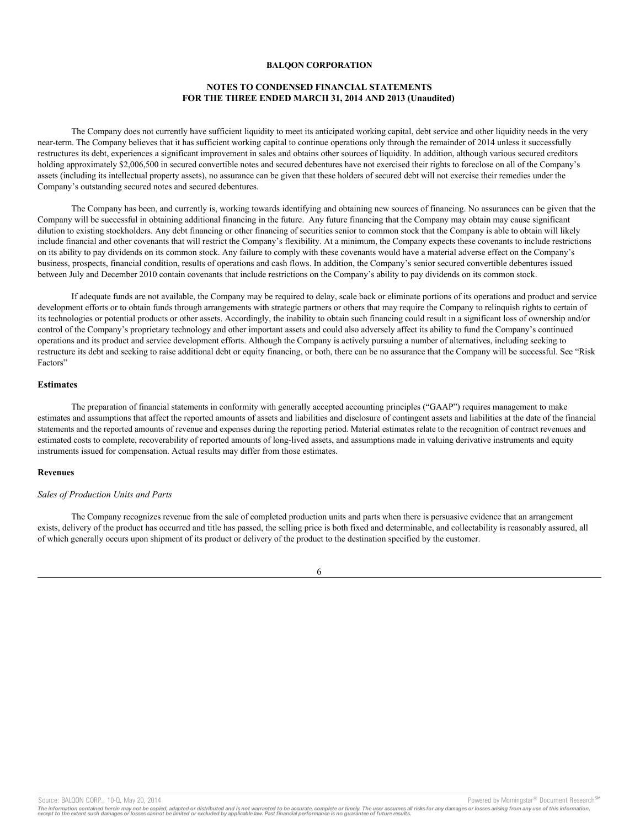# **NOTES TO CONDENSED FINANCIAL STATEMENTS FOR THE THREE ENDED MARCH 31, 2014 AND 2013 (Unaudited)**

The Company does not currently have sufficient liquidity to meet its anticipated working capital, debt service and other liquidity needs in the very near-term. The Company believes that it has sufficient working capital to continue operations only through the remainder of 2014 unless it successfully restructures its debt, experiences a significant improvement in sales and obtains other sources of liquidity. In addition, although various secured creditors holding approximately \$2,006,500 in secured convertible notes and secured debentures have not exercised their rights to foreclose on all of the Company's assets (including its intellectual property assets), no assurance can be given that these holders of secured debt will not exercise their remedies under the Company's outstanding secured notes and secured debentures.

The Company has been, and currently is, working towards identifying and obtaining new sources of financing. No assurances can be given that the Company will be successful in obtaining additional financing in the future. Any future financing that the Company may obtain may cause significant dilution to existing stockholders. Any debt financing or other financing of securities senior to common stock that the Company is able to obtain will likely include financial and other covenants that will restrict the Company's flexibility. At a minimum, the Company expects these covenants to include restrictions on its ability to pay dividends on its common stock. Any failure to comply with these covenants would have a material adverse effect on the Company's business, prospects, financial condition, results of operations and cash flows. In addition, the Company's senior secured convertible debentures issued between July and December 2010 contain covenants that include restrictions on the Company's ability to pay dividends on its common stock.

If adequate funds are not available, the Company may be required to delay, scale back or eliminate portions of its operations and product and service development efforts or to obtain funds through arrangements with strategic partners or others that may require the Company to relinquish rights to certain of its technologies or potential products or other assets. Accordingly, the inability to obtain such financing could result in a significant loss of ownership and/or control of the Company's proprietary technology and other important assets and could also adversely affect its ability to fund the Company's continued operations and its product and service development efforts. Although the Company is actively pursuing a number of alternatives, including seeking to restructure its debt and seeking to raise additional debt or equity financing, or both, there can be no assurance that the Company will be successful. See "Risk Factors"

# **Estimates**

The preparation of financial statements in conformity with generally accepted accounting principles ("GAAP") requires management to make estimates and assumptions that affect the reported amounts of assets and liabilities and disclosure of contingent assets and liabilities at the date of the financial statements and the reported amounts of revenue and expenses during the reporting period. Material estimates relate to the recognition of contract revenues and estimated costs to complete, recoverability of reported amounts of long-lived assets, and assumptions made in valuing derivative instruments and equity instruments issued for compensation. Actual results may differ from those estimates.

## **Revenues**

### *Sales of Production Units and Parts*

The Company recognizes revenue from the sale of completed production units and parts when there is persuasive evidence that an arrangement exists, delivery of the product has occurred and title has passed, the selling price is both fixed and determinable, and collectability is reasonably assured, all of which generally occurs upon shipment of its product or delivery of the product to the destination specified by the customer.

Source: BALQON CORP., 10-Q, May 20, 2014 **Powered by Morningstar® Document Research** Morningstar® Document Research

The information contained herein may not be copied, adapted or distributed and is not warranted to be accurate, complete or timely. The user assumes all risks for any damages or losses arising from any use of this informat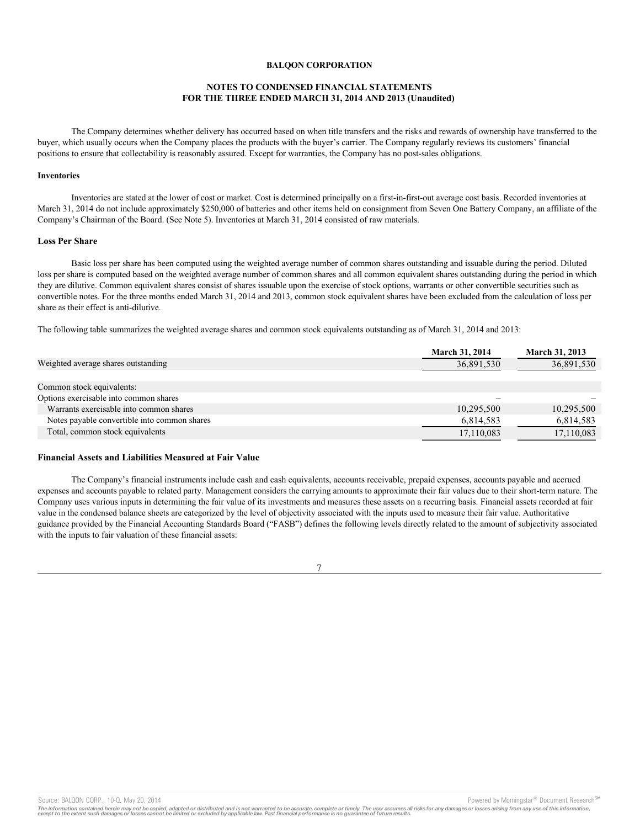# **NOTES TO CONDENSED FINANCIAL STATEMENTS FOR THE THREE ENDED MARCH 31, 2014 AND 2013 (Unaudited)**

The Company determines whether delivery has occurred based on when title transfers and the risks and rewards of ownership have transferred to the buyer, which usually occurs when the Company places the products with the buyer's carrier. The Company regularly reviews its customers' financial positions to ensure that collectability is reasonably assured. Except for warranties, the Company has no post-sales obligations.

#### **Inventories**

Inventories are stated at the lower of cost or market. Cost is determined principally on a first-in-first-out average cost basis. Recorded inventories at March 31, 2014 do not include approximately \$250,000 of batteries and other items held on consignment from Seven One Battery Company, an affiliate of the Company's Chairman of the Board. (See Note 5). Inventories at March 31, 2014 consisted of raw materials.

# **Loss Per Share**

Basic loss per share has been computed using the weighted average number of common shares outstanding and issuable during the period. Diluted loss per share is computed based on the weighted average number of common shares and all common equivalent shares outstanding during the period in which they are dilutive. Common equivalent shares consist of shares issuable upon the exercise of stock options, warrants or other convertible securities such as convertible notes. For the three months ended March 31, 2014 and 2013, common stock equivalent shares have been excluded from the calculation of loss per share as their effect is anti-dilutive.

The following table summarizes the weighted average shares and common stock equivalents outstanding as of March 31, 2014 and 2013:

|                                              | <b>March 31, 2014</b> | <b>March 31, 2013</b> |
|----------------------------------------------|-----------------------|-----------------------|
| Weighted average shares outstanding          | 36,891,530            | 36,891,530            |
|                                              |                       |                       |
| Common stock equivalents:                    |                       |                       |
| Options exercisable into common shares       |                       |                       |
| Warrants exercisable into common shares      | 10,295,500            | 10,295,500            |
| Notes payable convertible into common shares | 6,814,583             | 6,814,583             |
| Total, common stock equivalents              | 17,110,083            | 17,110,083            |

#### **Financial Assets and Liabilities Measured at Fair Value**

The Company's financial instruments include cash and cash equivalents, accounts receivable, prepaid expenses, accounts payable and accrued expenses and accounts payable to related party. Management considers the carrying amounts to approximate their fair values due to their short-term nature. The Company uses various inputs in determining the fair value of its investments and measures these assets on a recurring basis. Financial assets recorded at fair value in the condensed balance sheets are categorized by the level of objectivity associated with the inputs used to measure their fair value. Authoritative guidance provided by the Financial Accounting Standards Board ("FASB") defines the following levels directly related to the amount of subjectivity associated with the inputs to fair valuation of these financial assets:

7

Source: BALQON CORP., 10-Q, May 20, 2014 **Powered by Morningstar® Document Research** Morningstar® Document Research

The information contained herein may not be copied, adapted or distributed and is not warranted to be accurate, complete or timely. The user assumes all risks for any damages or losses arising from any use of this informat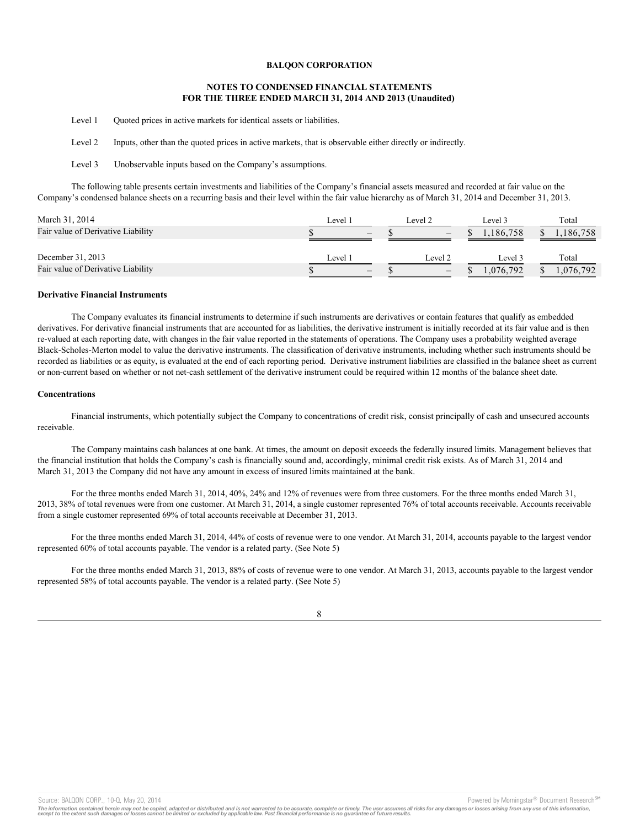# **NOTES TO CONDENSED FINANCIAL STATEMENTS FOR THE THREE ENDED MARCH 31, 2014 AND 2013 (Unaudited)**

Level 1 Quoted prices in active markets for identical assets or liabilities.

Level 2 Inputs, other than the quoted prices in active markets, that is observable either directly or indirectly.

Level 3 Unobservable inputs based on the Company's assumptions.

The following table presents certain investments and liabilities of the Company's financial assets measured and recorded at fair value on the Company's condensed balance sheets on a recurring basis and their level within the fair value hierarchy as of March 31, 2014 and December 31, 2013.

| Level :                         | Level 2                         | Level 3  | Total     |
|---------------------------------|---------------------------------|----------|-----------|
| $\hspace{0.1mm}-\hspace{0.1mm}$ | $\hspace{0.1mm}-\hspace{0.1mm}$ | .186.758 | 186,758   |
|                                 |                                 |          |           |
| Level 1                         | Level 2                         | Level 3  | Total     |
| $\hspace{0.1mm}-\hspace{0.1mm}$ | $\hspace{0.1mm}-\hspace{0.1mm}$ | .076.792 | 1,076,792 |
|                                 |                                 |          |           |

### **Derivative Financial Instruments**

The Company evaluates its financial instruments to determine if such instruments are derivatives or contain features that qualify as embedded derivatives. For derivative financial instruments that are accounted for as liabilities, the derivative instrument is initially recorded at its fair value and is then re-valued at each reporting date, with changes in the fair value reported in the statements of operations. The Company uses a probability weighted average Black-Scholes-Merton model to value the derivative instruments. The classification of derivative instruments, including whether such instruments should be recorded as liabilities or as equity, is evaluated at the end of each reporting period. Derivative instrument liabilities are classified in the balance sheet as current or non-current based on whether or not net-cash settlement of the derivative instrument could be required within 12 months of the balance sheet date.

#### **Concentrations**

Financial instruments, which potentially subject the Company to concentrations of credit risk, consist principally of cash and unsecured accounts receivable.

The Company maintains cash balances at one bank. At times, the amount on deposit exceeds the federally insured limits. Management believes that the financial institution that holds the Company's cash is financially sound and, accordingly, minimal credit risk exists. As of March 31, 2014 and March 31, 2013 the Company did not have any amount in excess of insured limits maintained at the bank.

For the three months ended March 31, 2014, 40%, 24% and 12% of revenues were from three customers. For the three months ended March 31, 2013, 38% of total revenues were from one customer. At March 31, 2014, a single customer represented 76% of total accounts receivable. Accounts receivable from a single customer represented 69% of total accounts receivable at December 31, 2013.

For the three months ended March 31, 2014, 44% of costs of revenue were to one vendor. At March 31, 2014, accounts payable to the largest vendor represented 60% of total accounts payable. The vendor is a related party. (See Note 5)

For the three months ended March 31, 2013, 88% of costs of revenue were to one vendor. At March 31, 2013, accounts payable to the largest vendor represented 58% of total accounts payable. The vendor is a related party. (See Note 5)

8

Source: BALQON CORP., 10-Q, May 20, 2014 **Powered by Morningstar® Document Research** in Powered by Morningstar® Document Research in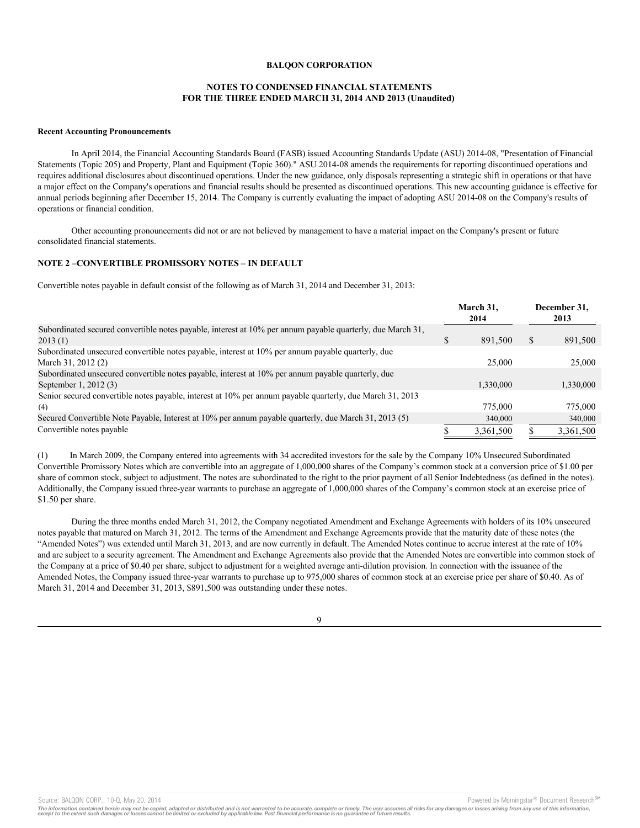# **NOTES TO CONDENSED FINANCIAL STATEMENTS FOR THE THREE ENDED MARCH 31, 2014 AND 2013 (Unaudited)**

#### **Recent Accounting Pronouncements**

In April 2014, the Financial Accounting Standards Board (FASB) issued Accounting Standards Update (ASU) 2014-08, "Presentation of Financial Statements (Topic 205) and Property, Plant and Equipment (Topic 360)." ASU 2014-08 amends the requirements for reporting discontinued operations and requires additional disclosures about discontinued operations. Under the new guidance, only disposals representing a strategic shift in operations or that have a major effect on the Company's operations and financial results should be presented as discontinued operations. This new accounting guidance is effective for annual periods beginning after December 15, 2014. The Company is currently evaluating the impact of adopting ASU 2014-08 on the Company's results of operations or financial condition.

Other accounting pronouncements did not or are not believed by management to have a material impact on the Company's present or future consolidated financial statements.

### **NOTE 2 –CONVERTIBLE PROMISSORY NOTES – IN DEFAULT**

Convertible notes payable in default consist of the following as of March 31, 2014 and December 31, 2013:

|                                                                                                            | March 31,<br>2014 |   | December 31.<br>2013 |
|------------------------------------------------------------------------------------------------------------|-------------------|---|----------------------|
| Subordinated secured convertible notes payable, interest at 10% per annum payable quarterly, due March 31, |                   |   |                      |
| 2013(1)                                                                                                    | \$<br>891,500     | S | 891,500              |
| Subordinated unsecured convertible notes payable, interest at 10% per annum payable quarterly, due         |                   |   |                      |
| March 31, 2012 (2)                                                                                         | 25,000            |   | 25,000               |
| Subordinated unsecured convertible notes payable, interest at 10% per annum payable quarterly, due         |                   |   |                      |
| September 1, 2012 (3)                                                                                      | 1.330,000         |   | 1,330,000            |
| Senior secured convertible notes payable, interest at 10% per annum payable quarterly, due March 31, 2013  |                   |   |                      |
| (4)                                                                                                        | 775,000           |   | 775,000              |
| Secured Convertible Note Payable, Interest at 10% per annum payable quarterly, due March 31, 2013 (5)      | 340,000           |   | 340,000              |
| Convertible notes payable                                                                                  | 3,361,500         |   | 3,361,500            |

(1) In March 2009, the Company entered into agreements with 34 accredited investors for the sale by the Company 10% Unsecured Subordinated Convertible Promissory Notes which are convertible into an aggregate of 1,000,000 shares of the Company's common stock at a conversion price of \$1.00 per share of common stock, subject to adjustment. The notes are subordinated to the right to the prior payment of all Senior Indebtedness (as defined in the notes). Additionally, the Company issued three-year warrants to purchase an aggregate of 1,000,000 shares of the Company's common stock at an exercise price of \$1.50 per share.

During the three months ended March 31, 2012, the Company negotiated Amendment and Exchange Agreements with holders of its 10% unsecured notes payable that matured on March 31, 2012. The terms of the Amendment and Exchange Agreements provide that the maturity date of these notes (the "Amended Notes") was extended until March 31, 2013, and are now currently in default. The Amended Notes continue to accrue interest at the rate of 10% and are subject to a security agreement. The Amendment and Exchange Agreements also provide that the Amended Notes are convertible into common stock of the Company at a price of \$0.40 per share, subject to adjustment for a weighted average anti-dilution provision. In connection with the issuance of the Amended Notes, the Company issued three-year warrants to purchase up to 975,000 shares of common stock at an exercise price per share of \$0.40. As of March 31, 2014 and December 31, 2013, \$891,500 was outstanding under these notes.

 $\Omega$ 

Source: BALQON CORP., 10-Q, May 20, 2014 Contract and Source: BALQON CORP. The Powered by Morningstar® Document Research Street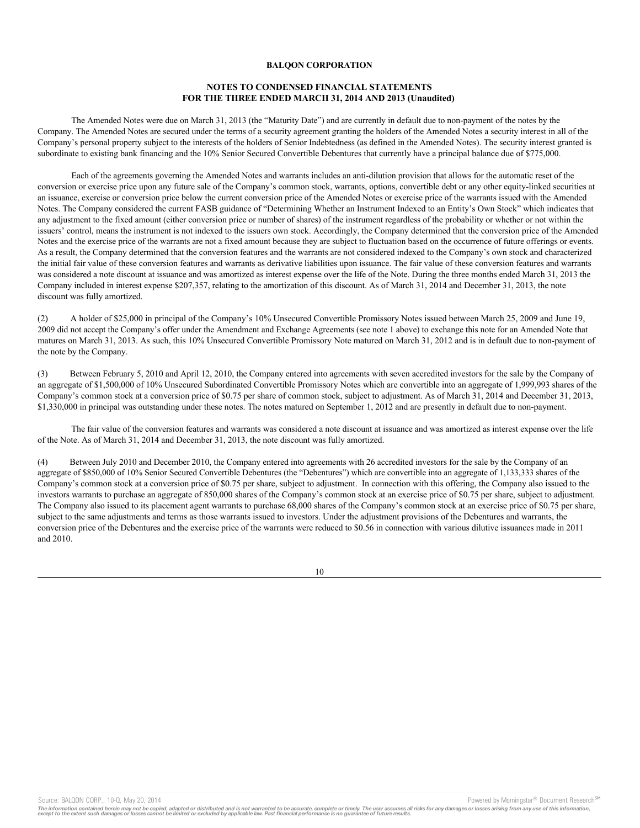# **NOTES TO CONDENSED FINANCIAL STATEMENTS FOR THE THREE ENDED MARCH 31, 2014 AND 2013 (Unaudited)**

The Amended Notes were due on March 31, 2013 (the "Maturity Date") and are currently in default due to non-payment of the notes by the Company. The Amended Notes are secured under the terms of a security agreement granting the holders of the Amended Notes a security interest in all of the Company's personal property subject to the interests of the holders of Senior Indebtedness (as defined in the Amended Notes). The security interest granted is subordinate to existing bank financing and the 10% Senior Secured Convertible Debentures that currently have a principal balance due of \$775,000.

Each of the agreements governing the Amended Notes and warrants includes an anti-dilution provision that allows for the automatic reset of the conversion or exercise price upon any future sale of the Company's common stock, warrants, options, convertible debt or any other equity-linked securities at an issuance, exercise or conversion price below the current conversion price of the Amended Notes or exercise price of the warrants issued with the Amended Notes. The Company considered the current FASB guidance of "Determining Whether an Instrument Indexed to an Entity's Own Stock" which indicates that any adjustment to the fixed amount (either conversion price or number of shares) of the instrument regardless of the probability or whether or not within the issuers' control, means the instrument is not indexed to the issuers own stock. Accordingly, the Company determined that the conversion price of the Amended Notes and the exercise price of the warrants are not a fixed amount because they are subject to fluctuation based on the occurrence of future offerings or events. As a result, the Company determined that the conversion features and the warrants are not considered indexed to the Company's own stock and characterized the initial fair value of these conversion features and warrants as derivative liabilities upon issuance. The fair value of these conversion features and warrants was considered a note discount at issuance and was amortized as interest expense over the life of the Note. During the three months ended March 31, 2013 the Company included in interest expense \$207,357, relating to the amortization of this discount. As of March 31, 2014 and December 31, 2013, the note discount was fully amortized.

(2) A holder of \$25,000 in principal of the Company's 10% Unsecured Convertible Promissory Notes issued between March 25, 2009 and June 19, 2009 did not accept the Company's offer under the Amendment and Exchange Agreements (see note 1 above) to exchange this note for an Amended Note that matures on March 31, 2013. As such, this 10% Unsecured Convertible Promissory Note matured on March 31, 2012 and is in default due to non-payment of the note by the Company.

(3) Between February 5, 2010 and April 12, 2010, the Company entered into agreements with seven accredited investors for the sale by the Company of an aggregate of \$1,500,000 of 10% Unsecured Subordinated Convertible Promissory Notes which are convertible into an aggregate of 1,999,993 shares of the Company's common stock at a conversion price of \$0.75 per share of common stock, subject to adjustment. As of March 31, 2014 and December 31, 2013, \$1,330,000 in principal was outstanding under these notes. The notes matured on September 1, 2012 and are presently in default due to non-payment.

The fair value of the conversion features and warrants was considered a note discount at issuance and was amortized as interest expense over the life of the Note. As of March 31, 2014 and December 31, 2013, the note discount was fully amortized.

(4) Between July 2010 and December 2010, the Company entered into agreements with 26 accredited investors for the sale by the Company of an aggregate of \$850,000 of 10% Senior Secured Convertible Debentures (the "Debentures") which are convertible into an aggregate of 1,133,333 shares of the Company's common stock at a conversion price of \$0.75 per share, subject to adjustment. In connection with this offering, the Company also issued to the investors warrants to purchase an aggregate of 850,000 shares of the Company's common stock at an exercise price of \$0.75 per share, subject to adjustment. The Company also issued to its placement agent warrants to purchase 68,000 shares of the Company's common stock at an exercise price of \$0.75 per share, subject to the same adjustments and terms as those warrants issued to investors. Under the adjustment provisions of the Debentures and warrants, the conversion price of the Debentures and the exercise price of the warrants were reduced to \$0.56 in connection with various dilutive issuances made in 2011 and 2010.

Source: BALQON CORP., 10-Q, May 20, 2014 **Powered by Morningstar® Document Research** in Powered by Morningstar® Document Research in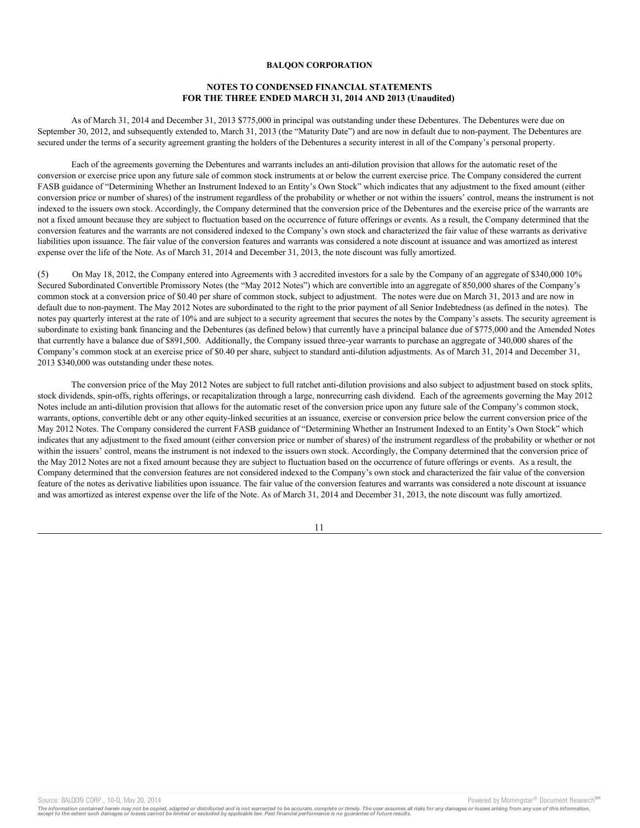# **NOTES TO CONDENSED FINANCIAL STATEMENTS FOR THE THREE ENDED MARCH 31, 2014 AND 2013 (Unaudited)**

As of March 31, 2014 and December 31, 2013 \$775,000 in principal was outstanding under these Debentures. The Debentures were due on September 30, 2012, and subsequently extended to, March 31, 2013 (the "Maturity Date") and are now in default due to non-payment. The Debentures are secured under the terms of a security agreement granting the holders of the Debentures a security interest in all of the Company's personal property.

Each of the agreements governing the Debentures and warrants includes an anti-dilution provision that allows for the automatic reset of the conversion or exercise price upon any future sale of common stock instruments at or below the current exercise price. The Company considered the current FASB guidance of "Determining Whether an Instrument Indexed to an Entity's Own Stock" which indicates that any adjustment to the fixed amount (either conversion price or number of shares) of the instrument regardless of the probability or whether or not within the issuers' control, means the instrument is not indexed to the issuers own stock. Accordingly, the Company determined that the conversion price of the Debentures and the exercise price of the warrants are not a fixed amount because they are subject to fluctuation based on the occurrence of future offerings or events. As a result, the Company determined that the conversion features and the warrants are not considered indexed to the Company's own stock and characterized the fair value of these warrants as derivative liabilities upon issuance. The fair value of the conversion features and warrants was considered a note discount at issuance and was amortized as interest expense over the life of the Note. As of March 31, 2014 and December 31, 2013, the note discount was fully amortized.

(5) On May 18, 2012, the Company entered into Agreements with 3 accredited investors for a sale by the Company of an aggregate of \$340,000 10% Secured Subordinated Convertible Promissory Notes (the "May 2012 Notes") which are convertible into an aggregate of 850,000 shares of the Company's common stock at a conversion price of \$0.40 per share of common stock, subject to adjustment. The notes were due on March 31, 2013 and are now in default due to non-payment. The May 2012 Notes are subordinated to the right to the prior payment of all Senior Indebtedness (as defined in the notes). The notes pay quarterly interest at the rate of 10% and are subject to a security agreement that secures the notes by the Company's assets. The security agreement is subordinate to existing bank financing and the Debentures (as defined below) that currently have a principal balance due of \$775,000 and the Amended Notes that currently have a balance due of \$891,500. Additionally, the Company issued three-year warrants to purchase an aggregate of 340,000 shares of the Company's common stock at an exercise price of \$0.40 per share, subject to standard anti-dilution adjustments. As of March 31, 2014 and December 31, 2013 \$340,000 was outstanding under these notes.

The conversion price of the May 2012 Notes are subject to full ratchet anti-dilution provisions and also subject to adjustment based on stock splits, stock dividends, spin-offs, rights offerings, or recapitalization through a large, nonrecurring cash dividend. Each of the agreements governing the May 2012 Notes include an anti-dilution provision that allows for the automatic reset of the conversion price upon any future sale of the Company's common stock, warrants, options, convertible debt or any other equity-linked securities at an issuance, exercise or conversion price below the current conversion price of the May 2012 Notes. The Company considered the current FASB guidance of "Determining Whether an Instrument Indexed to an Entity's Own Stock" which indicates that any adjustment to the fixed amount (either conversion price or number of shares) of the instrument regardless of the probability or whether or not within the issuers' control, means the instrument is not indexed to the issuers own stock. Accordingly, the Company determined that the conversion price of the May 2012 Notes are not a fixed amount because they are subject to fluctuation based on the occurrence of future offerings or events. As a result, the Company determined that the conversion features are not considered indexed to the Company's own stock and characterized the fair value of the conversion feature of the notes as derivative liabilities upon issuance. The fair value of the conversion features and warrants was considered a note discount at issuance and was amortized as interest expense over the life of the Note. As of March 31, 2014 and December 31, 2013, the note discount was fully amortized.

11

Source: BALQON CORP., 10-Q, May 20, 2014 **Powered by Morningstar® Document Research** in Powered by Morningstar® Document Research in

The information contained herein may not be copied, adapted or distributed and is not warranted to be accurate, complete or timely. The user assumes all risks for any damages or losses arising from any use of this informat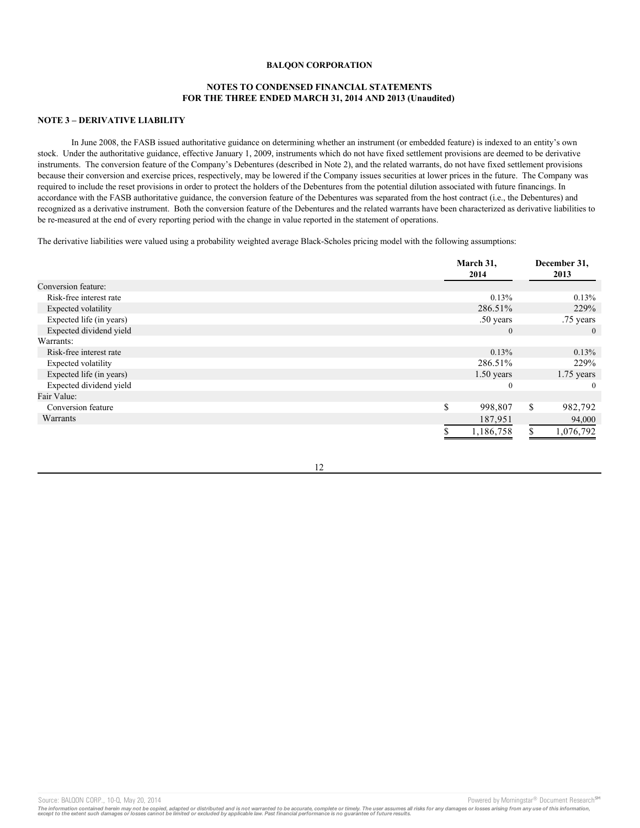# **NOTES TO CONDENSED FINANCIAL STATEMENTS FOR THE THREE ENDED MARCH 31, 2014 AND 2013 (Unaudited)**

# **NOTE 3 – DERIVATIVE LIABILITY**

In June 2008, the FASB issued authoritative guidance on determining whether an instrument (or embedded feature) is indexed to an entity's own stock. Under the authoritative guidance, effective January 1, 2009, instruments which do not have fixed settlement provisions are deemed to be derivative instruments. The conversion feature of the Company's Debentures (described in Note 2), and the related warrants, do not have fixed settlement provisions because their conversion and exercise prices, respectively, may be lowered if the Company issues securities at lower prices in the future. The Company was required to include the reset provisions in order to protect the holders of the Debentures from the potential dilution associated with future financings. In accordance with the FASB authoritative guidance, the conversion feature of the Debentures was separated from the host contract (i.e., the Debentures) and recognized as a derivative instrument. Both the conversion feature of the Debentures and the related warrants have been characterized as derivative liabilities to be re-measured at the end of every reporting period with the change in value reported in the statement of operations.

The derivative liabilities were valued using a probability weighted average Black-Scholes pricing model with the following assumptions:

|                            | March 31,<br>2014 | December 31,<br>2013 |
|----------------------------|-------------------|----------------------|
| Conversion feature:        |                   |                      |
| Risk-free interest rate    | 0.13%             | 0.13%                |
| <b>Expected volatility</b> | 286.51%           | 229%                 |
| Expected life (in years)   | .50 years         | .75 years            |
| Expected dividend yield    | $\overline{0}$    | $\overline{0}$       |
| Warrants:                  |                   |                      |
| Risk-free interest rate    | 0.13%             | 0.13%                |
| <b>Expected volatility</b> | 286.51%           | 229%                 |
| Expected life (in years)   | $1.50$ years      | $1.75$ years         |
| Expected dividend yield    | $\mathbf{0}$      | $\Omega$             |
| Fair Value:                |                   |                      |
| Conversion feature         | \$<br>998,807     | \$<br>982,792        |
| Warrants                   | 187,951           | 94,000               |
|                            | 1,186,758         | 1,076,792            |

12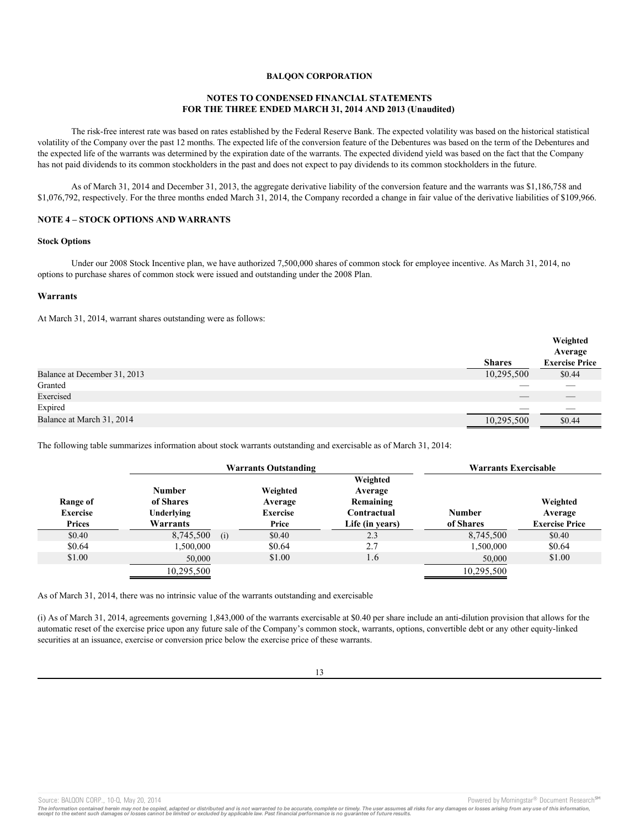# **NOTES TO CONDENSED FINANCIAL STATEMENTS FOR THE THREE ENDED MARCH 31, 2014 AND 2013 (Unaudited)**

The risk-free interest rate was based on rates established by the Federal Reserve Bank. The expected volatility was based on the historical statistical volatility of the Company over the past 12 months. The expected life of the conversion feature of the Debentures was based on the term of the Debentures and the expected life of the warrants was determined by the expiration date of the warrants. The expected dividend yield was based on the fact that the Company has not paid dividends to its common stockholders in the past and does not expect to pay dividends to its common stockholders in the future.

As of March 31, 2014 and December 31, 2013, the aggregate derivative liability of the conversion feature and the warrants was \$1,186,758 and \$1,076,792, respectively. For the three months ended March 31, 2014, the Company recorded a change in fair value of the derivative liabilities of \$109,966.

## **NOTE 4 – STOCK OPTIONS AND WARRANTS**

#### **Stock Options**

Under our 2008 Stock Incentive plan, we have authorized 7,500,000 shares of common stock for employee incentive. As March 31, 2014, no options to purchase shares of common stock were issued and outstanding under the 2008 Plan.

# **Warrants**

At March 31, 2014, warrant shares outstanding were as follows:

|                              |               | Weighted<br>Average   |
|------------------------------|---------------|-----------------------|
|                              | <b>Shares</b> | <b>Exercise Price</b> |
| Balance at December 31, 2013 | 10,295,500    | \$0.44                |
| Granted                      |               |                       |
| Exercised                    | __            |                       |
| Expired                      |               |                       |
| Balance at March 31, 2014    | 10,295,500    | \$0.44                |

The following table summarizes information about stock warrants outstanding and exercisable as of March 31, 2014:

|                                              |                                                      | <b>Warrants Outstanding</b>                     |                                                                    | <b>Warrants Exercisable</b> |                                              |
|----------------------------------------------|------------------------------------------------------|-------------------------------------------------|--------------------------------------------------------------------|-----------------------------|----------------------------------------------|
| Range of<br><b>Exercise</b><br><b>Prices</b> | <b>Number</b><br>of Shares<br>Underlying<br>Warrants | Weighted<br>Average<br><b>Exercise</b><br>Price | Weighted<br>Average<br>Remaining<br>Contractual<br>Life (in years) | <b>Number</b><br>of Shares  | Weighted<br>Average<br><b>Exercise Price</b> |
| \$0.40                                       | 8,745,500<br>(i)                                     | \$0.40                                          | 2.3                                                                | 8.745.500                   | \$0.40                                       |
| \$0.64                                       | 1,500,000                                            | \$0.64                                          | 2.7                                                                | 1,500,000                   | \$0.64                                       |
| \$1.00                                       | 50,000                                               | \$1.00                                          | 1.6                                                                | 50,000                      | \$1.00                                       |
|                                              | 10,295,500                                           |                                                 |                                                                    | 10,295,500                  |                                              |

As of March 31, 2014, there was no intrinsic value of the warrants outstanding and exercisable

(i) As of March 31, 2014, agreements governing 1,843,000 of the warrants exercisable at \$0.40 per share include an anti-dilution provision that allows for the automatic reset of the exercise price upon any future sale of the Company's common stock, warrants, options, convertible debt or any other equity-linked securities at an issuance, exercise or conversion price below the exercise price of these warrants.

Source: BALQON CORP., 10-Q, May 20, 2014 **Powered by Morningstar® Document Research** <sup>5M</sup> Corp.

The information contained herein may not be copied, adapted or distributed and is not warranted to be accurate, complete or timely. The user assumes all risks for any damages or losses arising from any use of this informat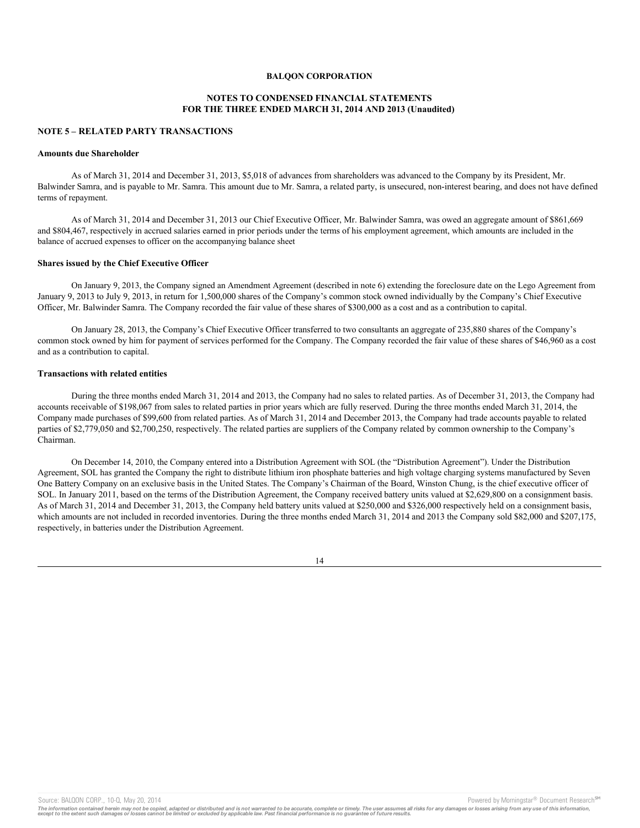## **NOTES TO CONDENSED FINANCIAL STATEMENTS FOR THE THREE ENDED MARCH 31, 2014 AND 2013 (Unaudited)**

### **NOTE 5 – RELATED PARTY TRANSACTIONS**

### **Amounts due Shareholder**

As of March 31, 2014 and December 31, 2013, \$5,018 of advances from shareholders was advanced to the Company by its President, Mr. Balwinder Samra, and is payable to Mr. Samra. This amount due to Mr. Samra, a related party, is unsecured, non-interest bearing, and does not have defined terms of repayment.

As of March 31, 2014 and December 31, 2013 our Chief Executive Officer, Mr. Balwinder Samra, was owed an aggregate amount of \$861,669 and \$804,467, respectively in accrued salaries earned in prior periods under the terms of his employment agreement, which amounts are included in the balance of accrued expenses to officer on the accompanying balance sheet

#### **Shares issued by the Chief Executive Officer**

On January 9, 2013, the Company signed an Amendment Agreement (described in note 6) extending the foreclosure date on the Lego Agreement from January 9, 2013 to July 9, 2013, in return for 1,500,000 shares of the Company's common stock owned individually by the Company's Chief Executive Officer, Mr. Balwinder Samra. The Company recorded the fair value of these shares of \$300,000 as a cost and as a contribution to capital.

On January 28, 2013, the Company's Chief Executive Officer transferred to two consultants an aggregate of 235,880 shares of the Company's common stock owned by him for payment of services performed for the Company. The Company recorded the fair value of these shares of \$46,960 as a cost and as a contribution to capital.

## **Transactions with related entities**

During the three months ended March 31, 2014 and 2013, the Company had no sales to related parties. As of December 31, 2013, the Company had accounts receivable of \$198,067 from sales to related parties in prior years which are fully reserved. During the three months ended March 31, 2014, the Company made purchases of \$99,600 from related parties. As of March 31, 2014 and December 2013, the Company had trade accounts payable to related parties of \$2,779,050 and \$2,700,250, respectively. The related parties are suppliers of the Company related by common ownership to the Company's Chairman.

On December 14, 2010, the Company entered into a Distribution Agreement with SOL (the "Distribution Agreement"). Under the Distribution Agreement, SOL has granted the Company the right to distribute lithium iron phosphate batteries and high voltage charging systems manufactured by Seven One Battery Company on an exclusive basis in the United States. The Company's Chairman of the Board, Winston Chung, is the chief executive officer of SOL. In January 2011, based on the terms of the Distribution Agreement, the Company received battery units valued at \$2,629,800 on a consignment basis. As of March 31, 2014 and December 31, 2013, the Company held battery units valued at \$250,000 and \$326,000 respectively held on a consignment basis, which amounts are not included in recorded inventories. During the three months ended March 31, 2014 and 2013 the Company sold \$82,000 and \$207,175, respectively, in batteries under the Distribution Agreement.

14

Source: BALQON CORP., 10-Q, May 20, 2014 **Powered by Morningstar® Document Research** in Powered by Morningstar® Document Research in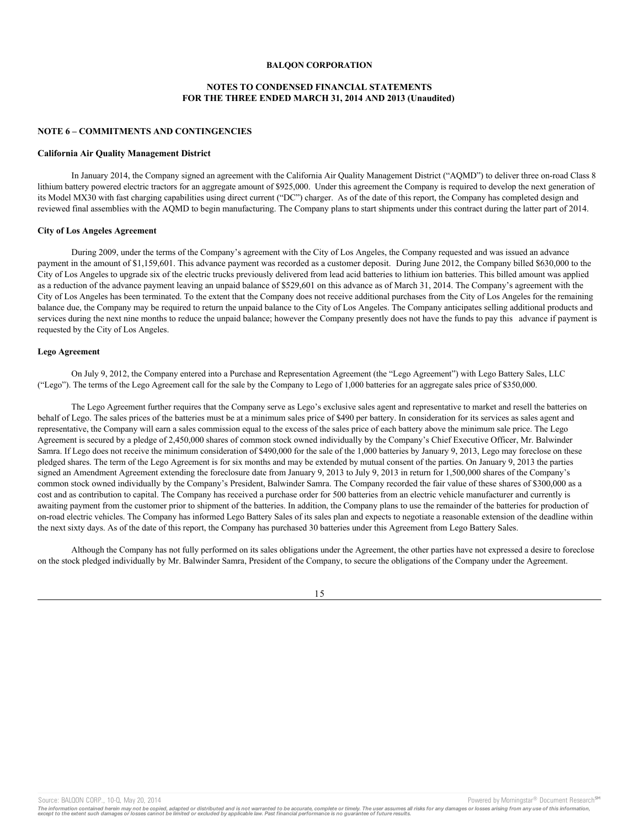# **NOTES TO CONDENSED FINANCIAL STATEMENTS FOR THE THREE ENDED MARCH 31, 2014 AND 2013 (Unaudited)**

#### **NOTE 6 – COMMITMENTS AND CONTINGENCIES**

#### **California Air Quality Management District**

In January 2014, the Company signed an agreement with the California Air Quality Management District ("AQMD") to deliver three on-road Class 8 lithium battery powered electric tractors for an aggregate amount of \$925,000. Under this agreement the Company is required to develop the next generation of its Model MX30 with fast charging capabilities using direct current ("DC") charger. As of the date of this report, the Company has completed design and reviewed final assemblies with the AQMD to begin manufacturing. The Company plans to start shipments under this contract during the latter part of 2014.

#### **City of Los Angeles Agreement**

During 2009, under the terms of the Company's agreement with the City of Los Angeles, the Company requested and was issued an advance payment in the amount of \$1,159,601. This advance payment was recorded as a customer deposit. During June 2012, the Company billed \$630,000 to the City of Los Angeles to upgrade six of the electric trucks previously delivered from lead acid batteries to lithium ion batteries. This billed amount was applied as a reduction of the advance payment leaving an unpaid balance of \$529,601 on this advance as of March 31, 2014. The Company's agreement with the City of Los Angeles has been terminated. To the extent that the Company does not receive additional purchases from the City of Los Angeles for the remaining balance due, the Company may be required to return the unpaid balance to the City of Los Angeles. The Company anticipates selling additional products and services during the next nine months to reduce the unpaid balance; however the Company presently does not have the funds to pay this advance if payment is requested by the City of Los Angeles.

#### **Lego Agreement**

On July 9, 2012, the Company entered into a Purchase and Representation Agreement (the "Lego Agreement") with Lego Battery Sales, LLC ("Lego"). The terms of the Lego Agreement call for the sale by the Company to Lego of 1,000 batteries for an aggregate sales price of \$350,000.

The Lego Agreement further requires that the Company serve as Lego's exclusive sales agent and representative to market and resell the batteries on behalf of Lego. The sales prices of the batteries must be at a minimum sales price of \$490 per battery. In consideration for its services as sales agent and representative, the Company will earn a sales commission equal to the excess of the sales price of each battery above the minimum sale price. The Lego Agreement is secured by a pledge of 2,450,000 shares of common stock owned individually by the Company's Chief Executive Officer, Mr. Balwinder Samra. If Lego does not receive the minimum consideration of \$490,000 for the sale of the 1,000 batteries by January 9, 2013, Lego may foreclose on these pledged shares. The term of the Lego Agreement is for six months and may be extended by mutual consent of the parties. On January 9, 2013 the parties signed an Amendment Agreement extending the foreclosure date from January 9, 2013 to July 9, 2013 in return for 1,500,000 shares of the Company's common stock owned individually by the Company's President, Balwinder Samra. The Company recorded the fair value of these shares of \$300,000 as a cost and as contribution to capital. The Company has received a purchase order for 500 batteries from an electric vehicle manufacturer and currently is awaiting payment from the customer prior to shipment of the batteries. In addition, the Company plans to use the remainder of the batteries for production of on-road electric vehicles. The Company has informed Lego Battery Sales of its sales plan and expects to negotiate a reasonable extension of the deadline within the next sixty days. As of the date of this report, the Company has purchased 30 batteries under this Agreement from Lego Battery Sales.

Although the Company has not fully performed on its sales obligations under the Agreement, the other parties have not expressed a desire to foreclose on the stock pledged individually by Mr. Balwinder Samra, President of the Company, to secure the obligations of the Company under the Agreement.



Source: BALQON CORP., 10-Q, May 20, 2014 **Powered by Morningstar® Document Research** in Powered by Morningstar® Document Research in

The information contained herein may not be copied, adapted or distributed and is not warranted to be accurate, complete or timely. The user assumes all risks for any damages or losses arising from any use of this informat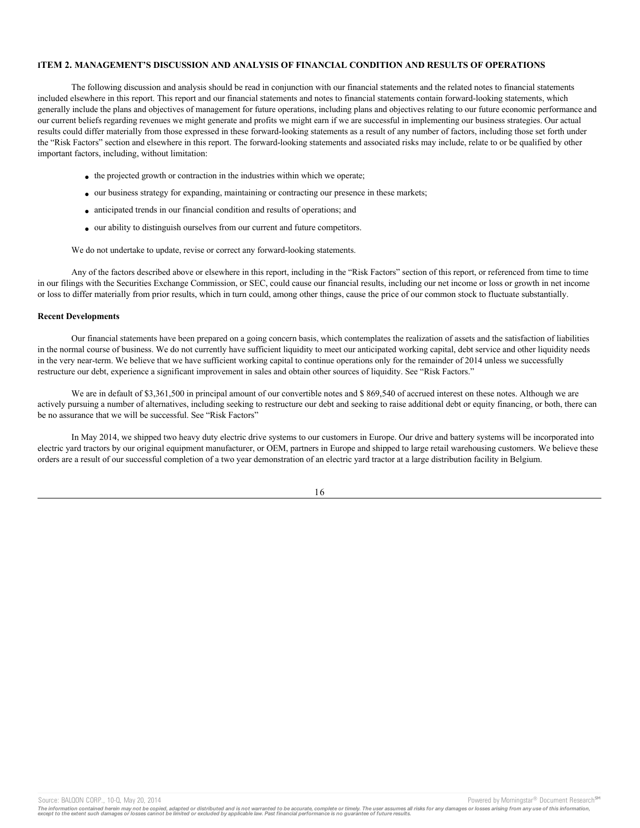### **ITEM 2. MANAGEMENT'S DISCUSSION AND ANALYSIS OF FINANCIAL CONDITION AND RESULTS OF OPERATIONS**

The following discussion and analysis should be read in conjunction with our financial statements and the related notes to financial statements included elsewhere in this report. This report and our financial statements and notes to financial statements contain forward-looking statements, which generally include the plans and objectives of management for future operations, including plans and objectives relating to our future economic performance and our current beliefs regarding revenues we might generate and profits we might earn if we are successful in implementing our business strategies. Our actual results could differ materially from those expressed in these forward-looking statements as a result of any number of factors, including those set forth under the "Risk Factors" section and elsewhere in this report. The forward-looking statements and associated risks may include, relate to or be qualified by other important factors, including, without limitation:

- the projected growth or contraction in the industries within which we operate;
- our business strategy for expanding, maintaining or contracting our presence in these markets;
- · anticipated trends in our financial condition and results of operations; and
- · our ability to distinguish ourselves from our current and future competitors.

We do not undertake to update, revise or correct any forward-looking statements.

Any of the factors described above or elsewhere in this report, including in the "Risk Factors" section of this report, or referenced from time to time in our filings with the Securities Exchange Commission, or SEC, could cause our financial results, including our net income or loss or growth in net income or loss to differ materially from prior results, which in turn could, among other things, cause the price of our common stock to fluctuate substantially.

### **Recent Developments**

Our financial statements have been prepared on a going concern basis, which contemplates the realization of assets and the satisfaction of liabilities in the normal course of business. We do not currently have sufficient liquidity to meet our anticipated working capital, debt service and other liquidity needs in the very near-term. We believe that we have sufficient working capital to continue operations only for the remainder of 2014 unless we successfully restructure our debt, experience a significant improvement in sales and obtain other sources of liquidity. See "Risk Factors."

We are in default of \$3,361,500 in principal amount of our convertible notes and \$ 869,540 of accrued interest on these notes. Although we are actively pursuing a number of alternatives, including seeking to restructure our debt and seeking to raise additional debt or equity financing, or both, there can be no assurance that we will be successful. See "Risk Factors"

In May 2014, we shipped two heavy duty electric drive systems to our customers in Europe. Our drive and battery systems will be incorporated into electric yard tractors by our original equipment manufacturer, or OEM, partners in Europe and shipped to large retail warehousing customers. We believe these orders are a result of our successful completion of a two year demonstration of an electric yard tractor at a large distribution facility in Belgium.

16

Source: BALQON CORP., 10-Q, May 20, 2014 **Powered by Morningstar® Document Research** Morningstar® Document Research

The information contained herein may not be copied, adapted or distributed and is not warranted to be accurate, complete or timely. The user assumes all risks for any damages or losses arising from any use of this informat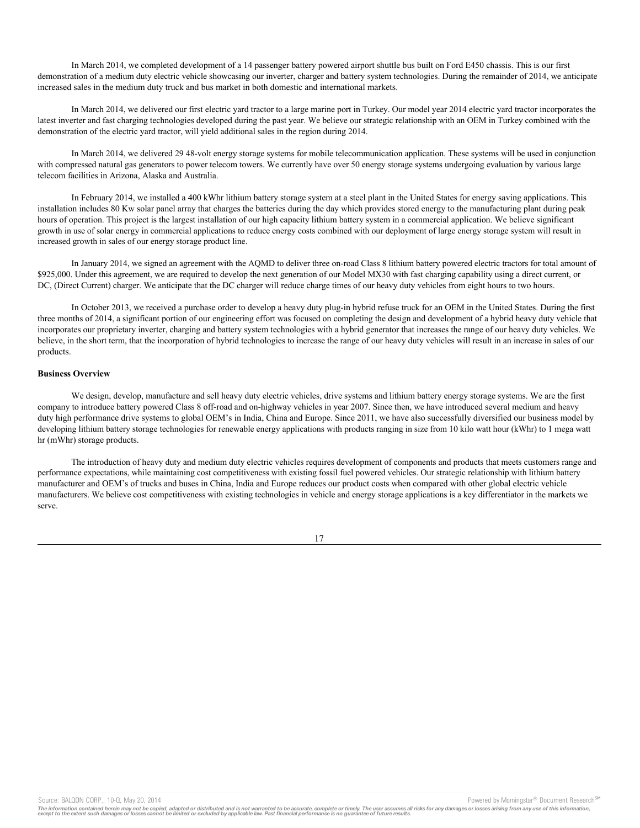In March 2014, we completed development of a 14 passenger battery powered airport shuttle bus built on Ford E450 chassis. This is our first demonstration of a medium duty electric vehicle showcasing our inverter, charger and battery system technologies. During the remainder of 2014, we anticipate increased sales in the medium duty truck and bus market in both domestic and international markets.

In March 2014, we delivered our first electric yard tractor to a large marine port in Turkey. Our model year 2014 electric yard tractor incorporates the latest inverter and fast charging technologies developed during the past year. We believe our strategic relationship with an OEM in Turkey combined with the demonstration of the electric yard tractor, will yield additional sales in the region during 2014.

In March 2014, we delivered 29 48-volt energy storage systems for mobile telecommunication application. These systems will be used in conjunction with compressed natural gas generators to power telecom towers. We currently have over 50 energy storage systems undergoing evaluation by various large telecom facilities in Arizona, Alaska and Australia.

In February 2014, we installed a 400 kWhr lithium battery storage system at a steel plant in the United States for energy saving applications. This installation includes 80 Kw solar panel array that charges the batteries during the day which provides stored energy to the manufacturing plant during peak hours of operation. This project is the largest installation of our high capacity lithium battery system in a commercial application. We believe significant growth in use of solar energy in commercial applications to reduce energy costs combined with our deployment of large energy storage system will result in increased growth in sales of our energy storage product line.

In January 2014, we signed an agreement with the AQMD to deliver three on-road Class 8 lithium battery powered electric tractors for total amount of \$925,000. Under this agreement, we are required to develop the next generation of our Model MX30 with fast charging capability using a direct current, or DC, (Direct Current) charger. We anticipate that the DC charger will reduce charge times of our heavy duty vehicles from eight hours to two hours.

In October 2013, we received a purchase order to develop a heavy duty plug-in hybrid refuse truck for an OEM in the United States. During the first three months of 2014, a significant portion of our engineering effort was focused on completing the design and development of a hybrid heavy duty vehicle that incorporates our proprietary inverter, charging and battery system technologies with a hybrid generator that increases the range of our heavy duty vehicles. We believe, in the short term, that the incorporation of hybrid technologies to increase the range of our heavy duty vehicles will result in an increase in sales of our products.

# **Business Overview**

We design, develop, manufacture and sell heavy duty electric vehicles, drive systems and lithium battery energy storage systems. We are the first company to introduce battery powered Class 8 off-road and on-highway vehicles in year 2007. Since then, we have introduced several medium and heavy duty high performance drive systems to global OEM's in India, China and Europe. Since 2011, we have also successfully diversified our business model by developing lithium battery storage technologies for renewable energy applications with products ranging in size from 10 kilo watt hour (kWhr) to 1 mega watt hr (mWhr) storage products.

The introduction of heavy duty and medium duty electric vehicles requires development of components and products that meets customers range and performance expectations, while maintaining cost competitiveness with existing fossil fuel powered vehicles. Our strategic relationship with lithium battery manufacturer and OEM's of trucks and buses in China, India and Europe reduces our product costs when compared with other global electric vehicle manufacturers. We believe cost competitiveness with existing technologies in vehicle and energy storage applications is a key differentiator in the markets we serve.

Source: BALQON CORP., 10-Q, May 20, 2014 **Powered by Morningstar® Document Research** Morningstar® Document Research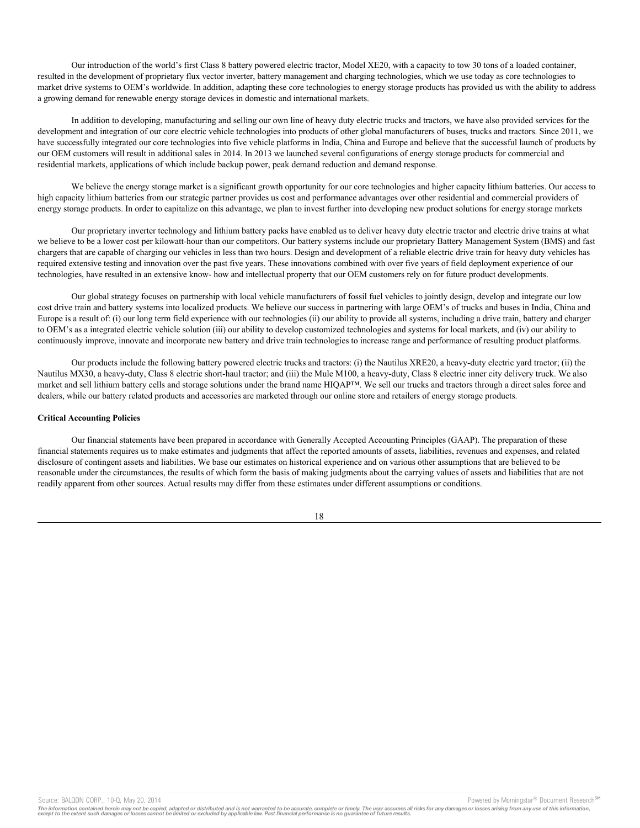Our introduction of the world's first Class 8 battery powered electric tractor, Model XE20, with a capacity to tow 30 tons of a loaded container, resulted in the development of proprietary flux vector inverter, battery management and charging technologies, which we use today as core technologies to market drive systems to OEM's worldwide. In addition, adapting these core technologies to energy storage products has provided us with the ability to address a growing demand for renewable energy storage devices in domestic and international markets.

In addition to developing, manufacturing and selling our own line of heavy duty electric trucks and tractors, we have also provided services for the development and integration of our core electric vehicle technologies into products of other global manufacturers of buses, trucks and tractors. Since 2011, we have successfully integrated our core technologies into five vehicle platforms in India, China and Europe and believe that the successful launch of products by our OEM customers will result in additional sales in 2014. In 2013 we launched several configurations of energy storage products for commercial and residential markets, applications of which include backup power, peak demand reduction and demand response.

We believe the energy storage market is a significant growth opportunity for our core technologies and higher capacity lithium batteries. Our access to high capacity lithium batteries from our strategic partner provides us cost and performance advantages over other residential and commercial providers of energy storage products. In order to capitalize on this advantage, we plan to invest further into developing new product solutions for energy storage markets

Our proprietary inverter technology and lithium battery packs have enabled us to deliver heavy duty electric tractor and electric drive trains at what we believe to be a lower cost per kilowatt-hour than our competitors. Our battery systems include our proprietary Battery Management System (BMS) and fast chargers that are capable of charging our vehicles in less than two hours. Design and development of a reliable electric drive train for heavy duty vehicles has required extensive testing and innovation over the past five years. These innovations combined with over five years of field deployment experience of our technologies, have resulted in an extensive know- how and intellectual property that our OEM customers rely on for future product developments.

Our global strategy focuses on partnership with local vehicle manufacturers of fossil fuel vehicles to jointly design, develop and integrate our low cost drive train and battery systems into localized products. We believe our success in partnering with large OEM's of trucks and buses in India, China and Europe is a result of: (i) our long term field experience with our technologies (ii) our ability to provide all systems, including a drive train, battery and charger to OEM's as a integrated electric vehicle solution (iii) our ability to develop customized technologies and systems for local markets, and (iv) our ability to continuously improve, innovate and incorporate new battery and drive train technologies to increase range and performance of resulting product platforms.

Our products include the following battery powered electric trucks and tractors: (i) the Nautilus XRE20, a heavy-duty electric yard tractor; (ii) the Nautilus MX30, a heavy-duty, Class 8 electric short-haul tractor; and (iii) the Mule M100, a heavy-duty, Class 8 electric inner city delivery truck. We also market and sell lithium battery cells and storage solutions under the brand name HIQAP™. We sell our trucks and tractors through a direct sales force and dealers, while our battery related products and accessories are marketed through our online store and retailers of energy storage products.

### **Critical Accounting Policies**

Our financial statements have been prepared in accordance with Generally Accepted Accounting Principles (GAAP). The preparation of these financial statements requires us to make estimates and judgments that affect the reported amounts of assets, liabilities, revenues and expenses, and related disclosure of contingent assets and liabilities. We base our estimates on historical experience and on various other assumptions that are believed to be reasonable under the circumstances, the results of which form the basis of making judgments about the carrying values of assets and liabilities that are not readily apparent from other sources. Actual results may differ from these estimates under different assumptions or conditions.

Source: BALQON CORP., 10-Q, May 20, 2014 **Powered by Morningstar® Document Research** in Powered by Morningstar® Document Research in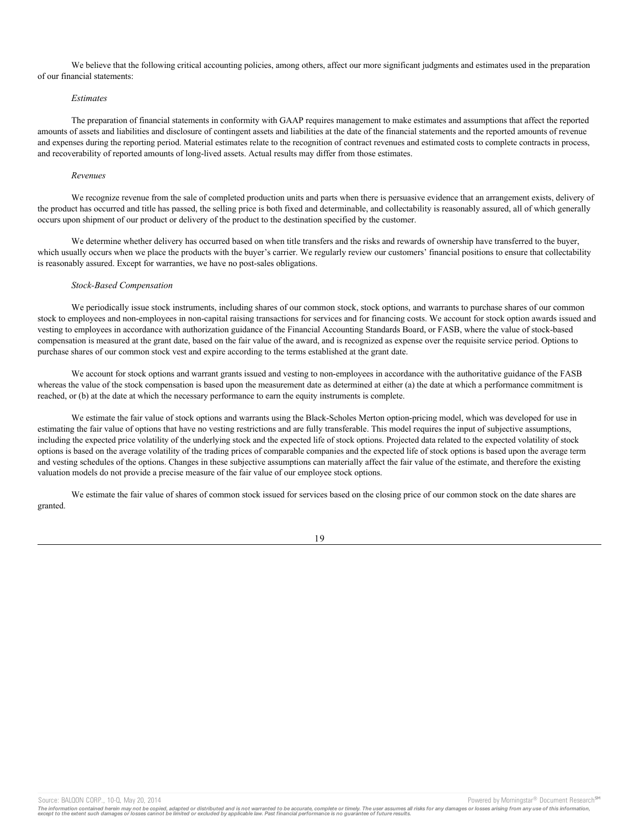We believe that the following critical accounting policies, among others, affect our more significant judgments and estimates used in the preparation of our financial statements:

### *Estimates*

The preparation of financial statements in conformity with GAAP requires management to make estimates and assumptions that affect the reported amounts of assets and liabilities and disclosure of contingent assets and liabilities at the date of the financial statements and the reported amounts of revenue and expenses during the reporting period. Material estimates relate to the recognition of contract revenues and estimated costs to complete contracts in process, and recoverability of reported amounts of long-lived assets. Actual results may differ from those estimates.

#### *Revenues*

We recognize revenue from the sale of completed production units and parts when there is persuasive evidence that an arrangement exists, delivery of the product has occurred and title has passed, the selling price is both fixed and determinable, and collectability is reasonably assured, all of which generally occurs upon shipment of our product or delivery of the product to the destination specified by the customer.

We determine whether delivery has occurred based on when title transfers and the risks and rewards of ownership have transferred to the buyer, which usually occurs when we place the products with the buyer's carrier. We regularly review our customers' financial positions to ensure that collectability is reasonably assured. Except for warranties, we have no post-sales obligations.

#### *Stock-Based Compensation*

We periodically issue stock instruments, including shares of our common stock, stock options, and warrants to purchase shares of our common stock to employees and non-employees in non-capital raising transactions for services and for financing costs. We account for stock option awards issued and vesting to employees in accordance with authorization guidance of the Financial Accounting Standards Board, or FASB, where the value of stock-based compensation is measured at the grant date, based on the fair value of the award, and is recognized as expense over the requisite service period. Options to purchase shares of our common stock vest and expire according to the terms established at the grant date.

We account for stock options and warrant grants issued and vesting to non-employees in accordance with the authoritative guidance of the FASB whereas the value of the stock compensation is based upon the measurement date as determined at either (a) the date at which a performance commitment is reached, or (b) at the date at which the necessary performance to earn the equity instruments is complete.

We estimate the fair value of stock options and warrants using the Black-Scholes Merton option-pricing model, which was developed for use in estimating the fair value of options that have no vesting restrictions and are fully transferable. This model requires the input of subjective assumptions, including the expected price volatility of the underlying stock and the expected life of stock options. Projected data related to the expected volatility of stock options is based on the average volatility of the trading prices of comparable companies and the expected life of stock options is based upon the average term and vesting schedules of the options. Changes in these subjective assumptions can materially affect the fair value of the estimate, and therefore the existing valuation models do not provide a precise measure of the fair value of our employee stock options.

We estimate the fair value of shares of common stock issued for services based on the closing price of our common stock on the date shares are granted.



Source: BALQON CORP., 10-Q, May 20, 2014 **Powered by Morningstar® Document Research** in Powered by Morningstar® Document Research in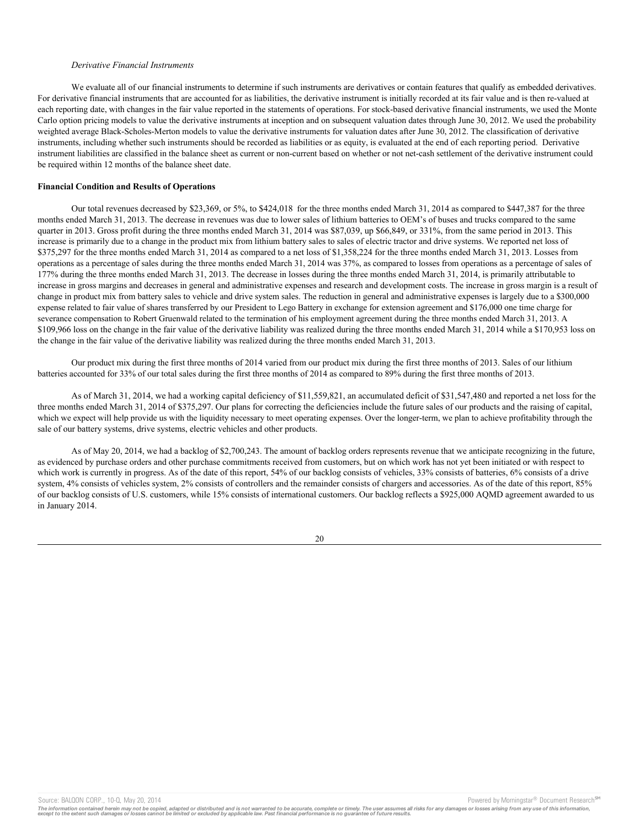#### *Derivative Financial Instruments*

We evaluate all of our financial instruments to determine if such instruments are derivatives or contain features that qualify as embedded derivatives. For derivative financial instruments that are accounted for as liabilities, the derivative instrument is initially recorded at its fair value and is then re-valued at each reporting date, with changes in the fair value reported in the statements of operations. For stock-based derivative financial instruments, we used the Monte Carlo option pricing models to value the derivative instruments at inception and on subsequent valuation dates through June 30, 2012. We used the probability weighted average Black-Scholes-Merton models to value the derivative instruments for valuation dates after June 30, 2012. The classification of derivative instruments, including whether such instruments should be recorded as liabilities or as equity, is evaluated at the end of each reporting period. Derivative instrument liabilities are classified in the balance sheet as current or non-current based on whether or not net-cash settlement of the derivative instrument could be required within 12 months of the balance sheet date.

#### **Financial Condition and Results of Operations**

Our total revenues decreased by \$23,369, or 5%, to \$424,018 for the three months ended March 31, 2014 as compared to \$447,387 for the three months ended March 31, 2013. The decrease in revenues was due to lower sales of lithium batteries to OEM's of buses and trucks compared to the same quarter in 2013. Gross profit during the three months ended March 31, 2014 was \$87,039, up \$66,849, or 331%, from the same period in 2013. This increase is primarily due to a change in the product mix from lithium battery sales to sales of electric tractor and drive systems. We reported net loss of \$375,297 for the three months ended March 31, 2014 as compared to a net loss of \$1,358,224 for the three months ended March 31, 2013. Losses from operations as a percentage of sales during the three months ended March 31, 2014 was 37%, as compared to losses from operations as a percentage of sales of 177% during the three months ended March 31, 2013. The decrease in losses during the three months ended March 31, 2014, is primarily attributable to increase in gross margins and decreases in general and administrative expenses and research and development costs. The increase in gross margin is a result of change in product mix from battery sales to vehicle and drive system sales. The reduction in general and administrative expenses is largely due to a \$300,000 expense related to fair value of shares transferred by our President to Lego Battery in exchange for extension agreement and \$176,000 one time charge for severance compensation to Robert Gruenwald related to the termination of his employment agreement during the three months ended March 31, 2013. A \$109,966 loss on the change in the fair value of the derivative liability was realized during the three months ended March 31, 2014 while a \$170,953 loss on the change in the fair value of the derivative liability was realized during the three months ended March 31, 2013.

Our product mix during the first three months of 2014 varied from our product mix during the first three months of 2013. Sales of our lithium batteries accounted for 33% of our total sales during the first three months of 2014 as compared to 89% during the first three months of 2013.

As of March 31, 2014, we had a working capital deficiency of \$11,559,821, an accumulated deficit of \$31,547,480 and reported a net loss for the three months ended March 31, 2014 of \$375,297. Our plans for correcting the deficiencies include the future sales of our products and the raising of capital, which we expect will help provide us with the liquidity necessary to meet operating expenses. Over the longer-term, we plan to achieve profitability through the sale of our battery systems, drive systems, electric vehicles and other products.

As of May 20, 2014, we had a backlog of \$2,700,243. The amount of backlog orders represents revenue that we anticipate recognizing in the future, as evidenced by purchase orders and other purchase commitments received from customers, but on which work has not yet been initiated or with respect to which work is currently in progress. As of the date of this report, 54% of our backlog consists of vehicles, 33% consists of batteries, 6% consists of a drive system, 4% consists of vehicles system, 2% consists of controllers and the remainder consists of chargers and accessories. As of the date of this report, 85% of our backlog consists of U.S. customers, while 15% consists of international customers. Our backlog reflects a \$925,000 AQMD agreement awarded to us in January 2014.

Source: BALQON CORP., 10-Q, May 20, 2014 **Powered by Morningstar® Document Research** in Powered by Morningstar® Document Research in

The information contained herein may not be copied, adapted or distributed and is not warranted to be accurate, complete or timely. The user assumes all risks for any damages or losses arising from any use of this informat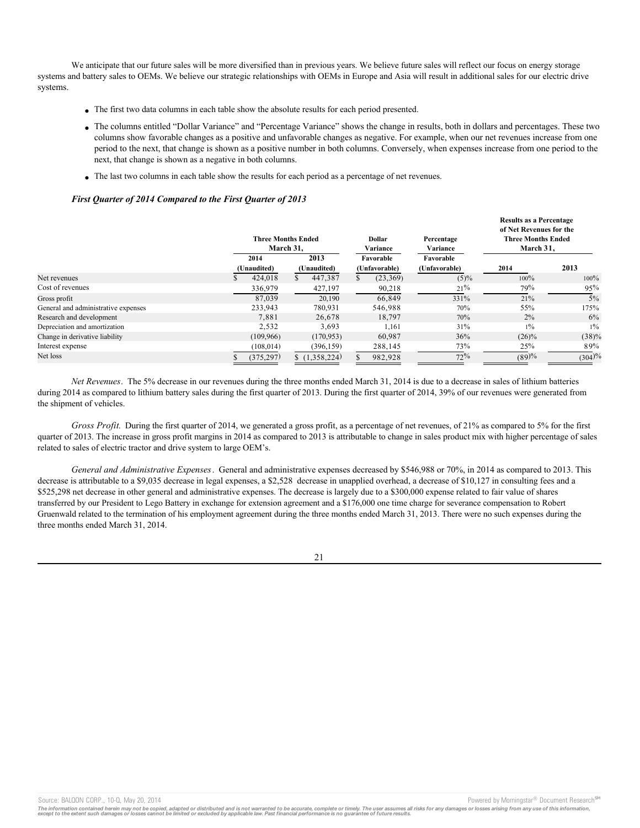We anticipate that our future sales will be more diversified than in previous years. We believe future sales will reflect our focus on energy storage systems and battery sales to OEMs. We believe our strategic relationships with OEMs in Europe and Asia will result in additional sales for our electric drive systems.

- · The first two data columns in each table show the absolute results for each period presented.
- · The columns entitled "Dollar Variance" and "Percentage Variance" shows the change in results, both in dollars and percentages. These two columns show favorable changes as a positive and unfavorable changes as negative. For example, when our net revenues increase from one period to the next, that change is shown as a positive number in both columns. Conversely, when expenses increase from one period to the next, that change is shown as a negative in both columns.
- · The last two columns in each table show the results for each period as a percentage of net revenues.

### *First Quarter of 2014 Compared to the First Quarter of 2013*

|                                     |                     | <b>Three Months Ended</b><br>March 31, |                     |               | <b>Dollar</b><br>Variance<br>Favorable<br>(Unfavorable) |           | Percentage<br>Variance<br>Favorable<br>(Unfavorable) | <b>Results as a Percentage</b><br>of Net Revenues for the<br><b>Three Months Ended</b><br>March 31, |          |
|-------------------------------------|---------------------|----------------------------------------|---------------------|---------------|---------------------------------------------------------|-----------|------------------------------------------------------|-----------------------------------------------------------------------------------------------------|----------|
|                                     | 2014<br>(Unaudited) |                                        | 2013<br>(Unaudited) |               |                                                         |           |                                                      | 2014                                                                                                | 2013     |
| Net revenues                        |                     | 424,018                                | \$                  | 447,387       | S.                                                      | (23, 369) | $(5)\%$                                              | $100\%$                                                                                             | $100\%$  |
| Cost of revenues                    |                     | 336,979                                |                     | 427,197       |                                                         | 90,218    | 21%                                                  | 79%                                                                                                 | 95%      |
| Gross profit                        |                     | 87,039                                 |                     | 20.190        |                                                         | 66,849    | 331%                                                 | 21%                                                                                                 | 5%       |
| General and administrative expenses |                     | 233.943                                |                     | 780.931       |                                                         | 546.988   | 70%                                                  | 55%                                                                                                 | 175%     |
| Research and development            |                     | 7.881                                  |                     | 26,678        |                                                         | 18,797    | 70%                                                  | 2%                                                                                                  | 6%       |
| Depreciation and amortization       |                     | 2,532                                  |                     | 3,693         |                                                         | 1,161     | 31%                                                  | $1\%$                                                                                               | $1\%$    |
| Change in derivative liability      |                     | (109,966)                              |                     | (170, 953)    |                                                         | 60,987    | 36%                                                  | $(26)\%$                                                                                            | $(38)\%$ |
| Interest expense                    |                     | (108, 014)                             |                     | (396, 159)    |                                                         | 288,145   | 73%                                                  | 25%                                                                                                 | 89%      |
| Net loss                            |                     | (375,297)                              |                     | \$(1,358,224) |                                                         | 982,928   | 72%                                                  | (89)%                                                                                               | (304)%   |

*Net Revenues*. The 5% decrease in our revenues during the three months ended March 31, 2014 is due to a decrease in sales of lithium batteries during 2014 as compared to lithium battery sales during the first quarter of 2013. During the first quarter of 2014, 39% of our revenues were generated from the shipment of vehicles.

*Gross Profit*. During the first quarter of 2014, we generated a gross profit, as a percentage of net revenues, of 21% as compared to 5% for the first quarter of 2013. The increase in gross profit margins in 2014 as compared to 2013 is attributable to change in sales product mix with higher percentage of sales related to sales of electric tractor and drive system to large OEM's.

*General and Administrative Expenses*. General and administrative expenses decreased by \$546,988 or 70%, in 2014 as compared to 2013. This decrease is attributable to a \$9,035 decrease in legal expenses, a \$2,528 decrease in unapplied overhead, a decrease of \$10,127 in consulting fees and a \$525,298 net decrease in other general and administrative expenses. The decrease is largely due to a \$300,000 expense related to fair value of shares transferred by our President to Lego Battery in exchange for extension agreement and a \$176,000 one time charge for severance compensation to Robert Gruenwald related to the termination of his employment agreement during the three months ended March 31, 2013. There were no such expenses during the three months ended March 31, 2014.

21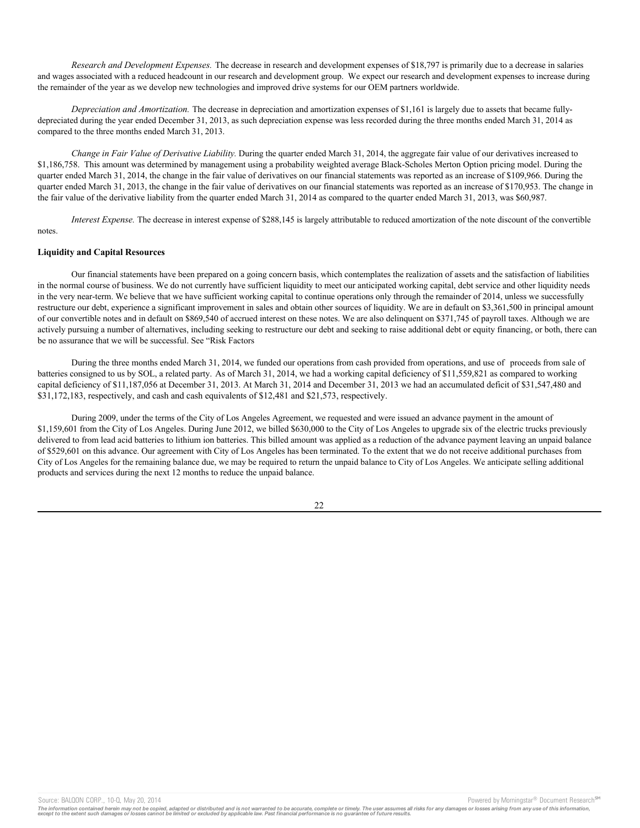*Research and Development Expenses.* The decrease in research and development expenses of \$18,797 is primarily due to a decrease in salaries and wages associated with a reduced headcount in our research and development group. We expect our research and development expenses to increase during the remainder of the year as we develop new technologies and improved drive systems for our OEM partners worldwide.

*Depreciation and Amortization.* The decrease in depreciation and amortization expenses of \$1,161 is largely due to assets that became fullydepreciated during the year ended December 31, 2013, as such depreciation expense was less recorded during the three months ended March 31, 2014 as compared to the three months ended March 31, 2013.

*Change in Fair Value of Derivative Liability.* During the quarter ended March 31, 2014, the aggregate fair value of our derivatives increased to \$1,186,758. This amount was determined by management using a probability weighted average Black-Scholes Merton Option pricing model. During the quarter ended March 31, 2014, the change in the fair value of derivatives on our financial statements was reported as an increase of \$109,966. During the quarter ended March 31, 2013, the change in the fair value of derivatives on our financial statements was reported as an increase of \$170,953. The change in the fair value of the derivative liability from the quarter ended March 31, 2014 as compared to the quarter ended March 31, 2013, was \$60,987.

*Interest Expense.* The decrease in interest expense of \$288,145 is largely attributable to reduced amortization of the note discount of the convertible notes.

### **Liquidity and Capital Resources**

Our financial statements have been prepared on a going concern basis, which contemplates the realization of assets and the satisfaction of liabilities in the normal course of business. We do not currently have sufficient liquidity to meet our anticipated working capital, debt service and other liquidity needs in the very near-term. We believe that we have sufficient working capital to continue operations only through the remainder of 2014, unless we successfully restructure our debt, experience a significant improvement in sales and obtain other sources of liquidity. We are in default on \$3,361,500 in principal amount of our convertible notes and in default on \$869,540 of accrued interest on these notes. We are also delinquent on \$371,745 of payroll taxes. Although we are actively pursuing a number of alternatives, including seeking to restructure our debt and seeking to raise additional debt or equity financing, or both, there can be no assurance that we will be successful. See "Risk Factors

During the three months ended March 31, 2014, we funded our operations from cash provided from operations, and use of proceeds from sale of batteries consigned to us by SOL, a related party. As of March 31, 2014, we had a working capital deficiency of \$11,559,821 as compared to working capital deficiency of \$11,187,056 at December 31, 2013. At March 31, 2014 and December 31, 2013 we had an accumulated deficit of \$31,547,480 and \$31,172,183, respectively, and cash and cash equivalents of \$12,481 and \$21,573, respectively.

During 2009, under the terms of the City of Los Angeles Agreement, we requested and were issued an advance payment in the amount of \$1,159,601 from the City of Los Angeles. During June 2012, we billed \$630,000 to the City of Los Angeles to upgrade six of the electric trucks previously delivered to from lead acid batteries to lithium ion batteries. This billed amount was applied as a reduction of the advance payment leaving an unpaid balance of \$529,601 on this advance. Our agreement with City of Los Angeles has been terminated. To the extent that we do not receive additional purchases from City of Los Angeles for the remaining balance due, we may be required to return the unpaid balance to City of Los Angeles. We anticipate selling additional products and services during the next 12 months to reduce the unpaid balance.

Source: BALQON CORP., 10-Q, May 20, 2014 **Powered by Morningstar® Document Research** Morningstar® Document Research

The information contained herein may not be copied, adapted or distributed and is not warranted to be accurate, complete or timely. The user assumes all risks for any damages or losses arising from any use of this informat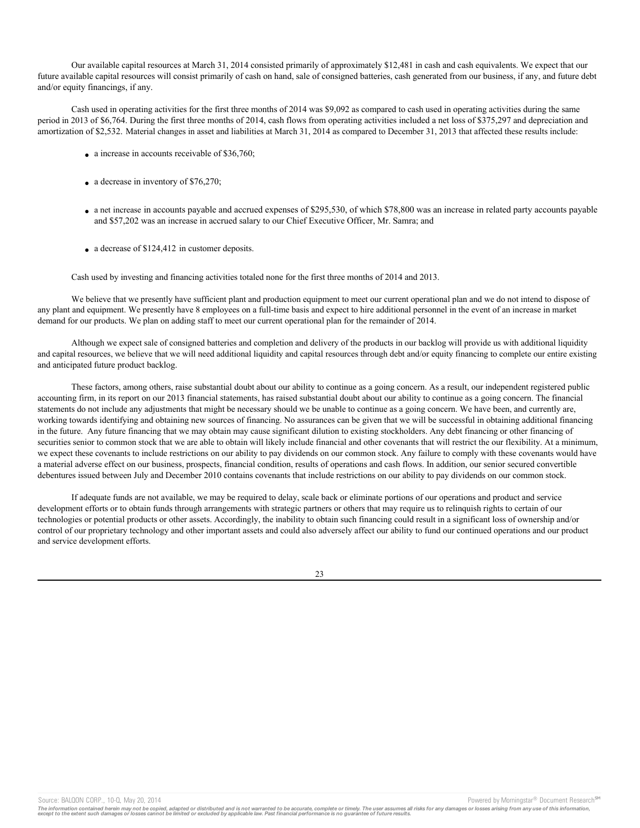Our available capital resources at March 31, 2014 consisted primarily of approximately \$12,481 in cash and cash equivalents. We expect that our future available capital resources will consist primarily of cash on hand, sale of consigned batteries, cash generated from our business, if any, and future debt and/or equity financings, if any.

Cash used in operating activities for the first three months of 2014 was \$9,092 as compared to cash used in operating activities during the same period in 2013 of \$6,764. During the first three months of 2014, cash flows from operating activities included a net loss of \$375,297 and depreciation and amortization of \$2,532. Material changes in asset and liabilities at March 31, 2014 as compared to December 31, 2013 that affected these results include:

- $\bullet$  a increase in accounts receivable of \$36,760;
- $\bullet$  a decrease in inventory of \$76,270;
- a net increase in accounts payable and accrued expenses of \$295,530, of which \$78,800 was an increase in related party accounts payable and \$57,202 was an increase in accrued salary to our Chief Executive Officer, Mr. Samra; and
- $\bullet$  a decrease of \$124,412 in customer deposits.

Cash used by investing and financing activities totaled none for the first three months of 2014 and 2013.

We believe that we presently have sufficient plant and production equipment to meet our current operational plan and we do not intend to dispose of any plant and equipment. We presently have 8 employees on a full-time basis and expect to hire additional personnel in the event of an increase in market demand for our products. We plan on adding staff to meet our current operational plan for the remainder of 2014.

Although we expect sale of consigned batteries and completion and delivery of the products in our backlog will provide us with additional liquidity and capital resources, we believe that we will need additional liquidity and capital resources through debt and/or equity financing to complete our entire existing and anticipated future product backlog.

These factors, among others, raise substantial doubt about our ability to continue as a going concern. As a result, our independent registered public accounting firm, in its report on our 2013 financial statements, has raised substantial doubt about our ability to continue as a going concern. The financial statements do not include any adjustments that might be necessary should we be unable to continue as a going concern. We have been, and currently are, working towards identifying and obtaining new sources of financing. No assurances can be given that we will be successful in obtaining additional financing in the future. Any future financing that we may obtain may cause significant dilution to existing stockholders. Any debt financing or other financing of securities senior to common stock that we are able to obtain will likely include financial and other covenants that will restrict the our flexibility. At a minimum, we expect these covenants to include restrictions on our ability to pay dividends on our common stock. Any failure to comply with these covenants would have a material adverse effect on our business, prospects, financial condition, results of operations and cash flows. In addition, our senior secured convertible debentures issued between July and December 2010 contains covenants that include restrictions on our ability to pay dividends on our common stock.

If adequate funds are not available, we may be required to delay, scale back or eliminate portions of our operations and product and service development efforts or to obtain funds through arrangements with strategic partners or others that may require us to relinquish rights to certain of our technologies or potential products or other assets. Accordingly, the inability to obtain such financing could result in a significant loss of ownership and/or control of our proprietary technology and other important assets and could also adversely affect our ability to fund our continued operations and our product and service development efforts.

Source: BALQON CORP., 10-Q, May 20, 2014 **Powered by Morningstar® Document Research** Morningstar® Document Research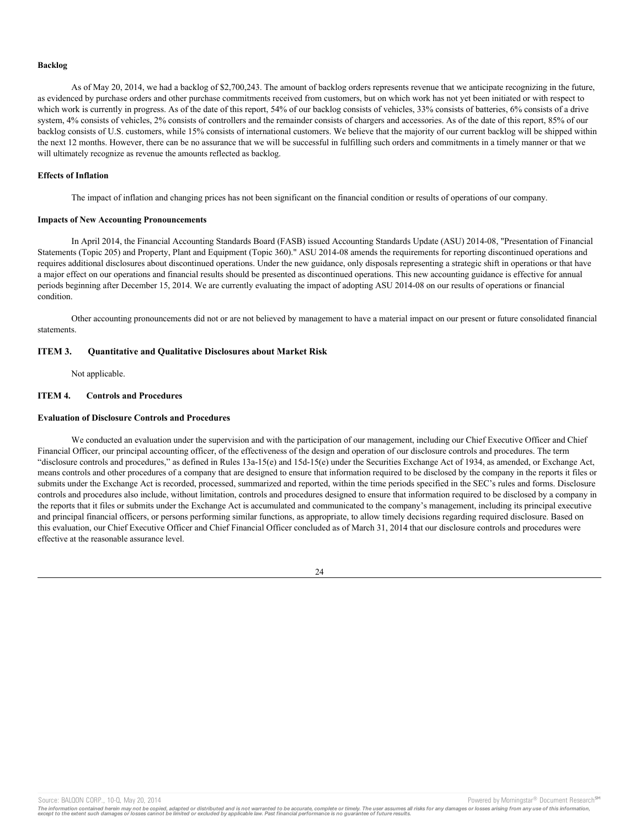#### **Backlog**

As of May 20, 2014, we had a backlog of \$2,700,243. The amount of backlog orders represents revenue that we anticipate recognizing in the future, as evidenced by purchase orders and other purchase commitments received from customers, but on which work has not yet been initiated or with respect to which work is currently in progress. As of the date of this report, 54% of our backlog consists of vehicles, 33% consists of batteries, 6% consists of a drive system, 4% consists of vehicles, 2% consists of controllers and the remainder consists of chargers and accessories. As of the date of this report, 85% of our backlog consists of U.S. customers, while 15% consists of international customers. We believe that the majority of our current backlog will be shipped within the next 12 months. However, there can be no assurance that we will be successful in fulfilling such orders and commitments in a timely manner or that we will ultimately recognize as revenue the amounts reflected as backlog.

#### **Effects of Inflation**

The impact of inflation and changing prices has not been significant on the financial condition or results of operations of our company.

#### **Impacts of New Accounting Pronouncements**

In April 2014, the Financial Accounting Standards Board (FASB) issued Accounting Standards Update (ASU) 2014-08, "Presentation of Financial Statements (Topic 205) and Property, Plant and Equipment (Topic 360)." ASU 2014-08 amends the requirements for reporting discontinued operations and requires additional disclosures about discontinued operations. Under the new guidance, only disposals representing a strategic shift in operations or that have a major effect on our operations and financial results should be presented as discontinued operations. This new accounting guidance is effective for annual periods beginning after December 15, 2014. We are currently evaluating the impact of adopting ASU 2014-08 on our results of operations or financial condition.

Other accounting pronouncements did not or are not believed by management to have a material impact on our present or future consolidated financial statements.

### **ITEM 3. Quantitative and Qualitative Disclosures about Market Risk**

Not applicable.

# **ITEM 4. Controls and Procedures**

### **Evaluation of Disclosure Controls and Procedures**

We conducted an evaluation under the supervision and with the participation of our management, including our Chief Executive Officer and Chief Financial Officer, our principal accounting officer, of the effectiveness of the design and operation of our disclosure controls and procedures. The term "disclosure controls and procedures," as defined in Rules 13a-15(e) and 15d-15(e) under the Securities Exchange Act of 1934, as amended, or Exchange Act, means controls and other procedures of a company that are designed to ensure that information required to be disclosed by the company in the reports it files or submits under the Exchange Act is recorded, processed, summarized and reported, within the time periods specified in the SEC's rules and forms. Disclosure controls and procedures also include, without limitation, controls and procedures designed to ensure that information required to be disclosed by a company in the reports that it files or submits under the Exchange Act is accumulated and communicated to the company's management, including its principal executive and principal financial officers, or persons performing similar functions, as appropriate, to allow timely decisions regarding required disclosure. Based on this evaluation, our Chief Executive Officer and Chief Financial Officer concluded as of March 31, 2014 that our disclosure controls and procedures were effective at the reasonable assurance level.

24

Source: BALQON CORP., 10-Q, May 20, 2014 Contract and Source: BALQON CORP. The Powered by Morningstar® Document Research Street

The information contained herein may not be copied, adapted or distributed and is not warranted to be accurate, complete or timely. The user assumes all risks for any damages or losses arising from any use of this informat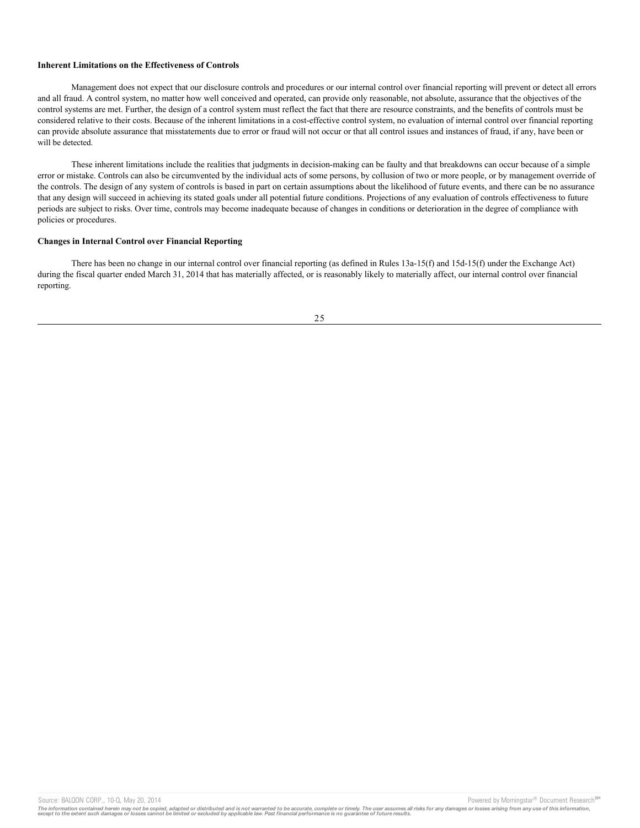### **Inherent Limitations on the Effectiveness of Controls**

Management does not expect that our disclosure controls and procedures or our internal control over financial reporting will prevent or detect all errors and all fraud. A control system, no matter how well conceived and operated, can provide only reasonable, not absolute, assurance that the objectives of the control systems are met. Further, the design of a control system must reflect the fact that there are resource constraints, and the benefits of controls must be considered relative to their costs. Because of the inherent limitations in a cost-effective control system, no evaluation of internal control over financial reporting can provide absolute assurance that misstatements due to error or fraud will not occur or that all control issues and instances of fraud, if any, have been or will be detected.

These inherent limitations include the realities that judgments in decision-making can be faulty and that breakdowns can occur because of a simple error or mistake. Controls can also be circumvented by the individual acts of some persons, by collusion of two or more people, or by management override of the controls. The design of any system of controls is based in part on certain assumptions about the likelihood of future events, and there can be no assurance that any design will succeed in achieving its stated goals under all potential future conditions. Projections of any evaluation of controls effectiveness to future periods are subject to risks. Over time, controls may become inadequate because of changes in conditions or deterioration in the degree of compliance with policies or procedures.

### **Changes in Internal Control over Financial Reporting**

There has been no change in our internal control over financial reporting (as defined in Rules 13a-15(f) and 15d-15(f) under the Exchange Act) during the fiscal quarter ended March 31, 2014 that has materially affected, or is reasonably likely to materially affect, our internal control over financial reporting.



Source: BALQON CORP., 10-Q, May 20, 2014<br>The information contained herein may not be copied, adapted or distributed and is not warranted to be accurate, complete or timely. The user assumes all risks for any damages or los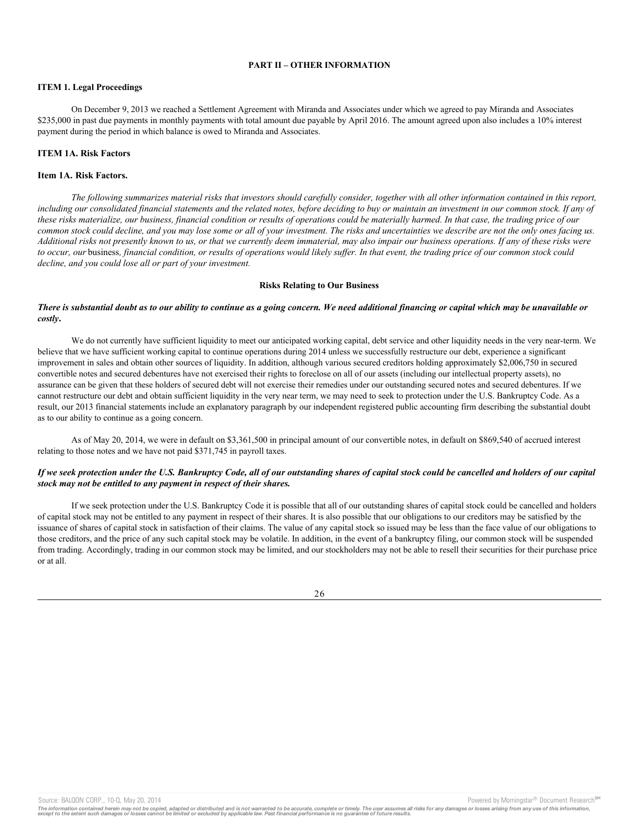## **PART II – OTHER INFORMATION**

## **ITEM 1. Legal Proceedings**

On December 9, 2013 we reached a Settlement Agreement with Miranda and Associates under which we agreed to pay Miranda and Associates \$235,000 in past due payments in monthly payments with total amount due payable by April 2016. The amount agreed upon also includes a 10% interest payment during the period in which balance is owed to Miranda and Associates.

### **ITEM 1A. Risk Factors**

### **Item 1A. Risk Factors.**

*The following summarizes material risks that investors should carefully consider, together with all other information contained in this report, including our consolidated financial statements and the related notes, before deciding to buy or maintain an investment in our common stock. If any of these risks materialize, our business, financial condition or results of operations could be materially harmed. In that case, the trading price of our common stock could decline, and you may lose some or all of your investment. The risks and uncertainties we describe are not the only ones facing us. Additional risks not presently known to us, or that we currently deem immaterial, may also impair our business operations. If any of these risks were to occur, our* business*, financial condition, or results of operations would likely suffer. In that event, the trading price of our common stock could decline, and you could lose all or part of your investment.*

### **Risks Relating to Our Business**

### *There is substantial doubt as to our ability to continue as a going concern. We need additional financing or capital which may be unavailable or costly***.**

We do not currently have sufficient liquidity to meet our anticipated working capital, debt service and other liquidity needs in the very near-term. We believe that we have sufficient working capital to continue operations during 2014 unless we successfully restructure our debt, experience a significant improvement in sales and obtain other sources of liquidity. In addition, although various secured creditors holding approximately \$2,006,750 in secured convertible notes and secured debentures have not exercised their rights to foreclose on all of our assets (including our intellectual property assets), no assurance can be given that these holders of secured debt will not exercise their remedies under our outstanding secured notes and secured debentures. If we cannot restructure our debt and obtain sufficient liquidity in the very near term, we may need to seek to protection under the U.S. Bankruptcy Code. As a result, our 2013 financial statements include an explanatory paragraph by our independent registered public accounting firm describing the substantial doubt as to our ability to continue as a going concern.

As of May 20, 2014, we were in default on \$3,361,500 in principal amount of our convertible notes, in default on \$869,540 of accrued interest relating to those notes and we have not paid \$371,745 in payroll taxes.

## *If we seek protection under the U.S. Bankruptcy Code, all of our outstanding shares of capital stock could be cancelled and holders of our capital stock may not be entitled to any payment in respect of their shares.*

If we seek protection under the U.S. Bankruptcy Code it is possible that all of our outstanding shares of capital stock could be cancelled and holders of capital stock may not be entitled to any payment in respect of their shares. It is also possible that our obligations to our creditors may be satisfied by the issuance of shares of capital stock in satisfaction of their claims. The value of any capital stock so issued may be less than the face value of our obligations to those creditors, and the price of any such capital stock may be volatile. In addition, in the event of a bankruptcy filing, our common stock will be suspended from trading. Accordingly, trading in our common stock may be limited, and our stockholders may not be able to resell their securities for their purchase price or at all.



Source: BALQON CORP., 10-Q, May 20, 2014 **Powered by Morningstar® Document Research** Morningstar® Document Research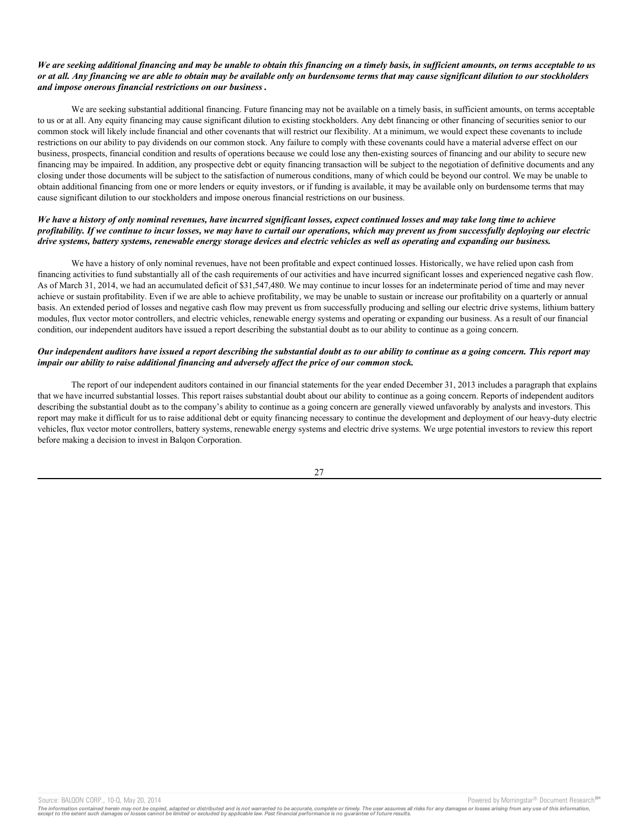### *We are seeking additional financing and may be unable to obtain this financing on a timely basis, in sufficient amounts, on terms acceptable to us or at all. Any financing we are able to obtain may be available only on burdensome terms that may cause significant dilution to our stockholders and impose onerous financial restrictions on our business***.**

We are seeking substantial additional financing. Future financing may not be available on a timely basis, in sufficient amounts, on terms acceptable to us or at all. Any equity financing may cause significant dilution to existing stockholders. Any debt financing or other financing of securities senior to our common stock will likely include financial and other covenants that will restrict our flexibility. At a minimum, we would expect these covenants to include restrictions on our ability to pay dividends on our common stock. Any failure to comply with these covenants could have a material adverse effect on our business, prospects, financial condition and results of operations because we could lose any then-existing sources of financing and our ability to secure new financing may be impaired. In addition, any prospective debt or equity financing transaction will be subject to the negotiation of definitive documents and any closing under those documents will be subject to the satisfaction of numerous conditions, many of which could be beyond our control. We may be unable to obtain additional financing from one or more lenders or equity investors, or if funding is available, it may be available only on burdensome terms that may cause significant dilution to our stockholders and impose onerous financial restrictions on our business.

### *We have a history of only nominal revenues, have incurred significant losses, expect continued losses and may take long time to achieve profitability. If we continue to incur losses, we may have to curtail our operations, which may prevent us from successfully deploying our electric drive systems, battery systems, renewable energy storage devices and electric vehicles as well as operating and expanding our business.*

We have a history of only nominal revenues, have not been profitable and expect continued losses. Historically, we have relied upon cash from financing activities to fund substantially all of the cash requirements of our activities and have incurred significant losses and experienced negative cash flow. As of March 31, 2014, we had an accumulated deficit of \$31,547,480. We may continue to incur losses for an indeterminate period of time and may never achieve or sustain profitability. Even if we are able to achieve profitability, we may be unable to sustain or increase our profitability on a quarterly or annual basis. An extended period of losses and negative cash flow may prevent us from successfully producing and selling our electric drive systems, lithium battery modules, flux vector motor controllers, and electric vehicles, renewable energy systems and operating or expanding our business. As a result of our financial condition, our independent auditors have issued a report describing the substantial doubt as to our ability to continue as a going concern.

# *Our independent auditors have issued a report describing the substantial doubt as to our ability to continue as a going concern. This report may impair our ability to raise additional financing and adversely affect the price of our common stock.*

The report of our independent auditors contained in our financial statements for the year ended December 31, 2013 includes a paragraph that explains that we have incurred substantial losses. This report raises substantial doubt about our ability to continue as a going concern. Reports of independent auditors describing the substantial doubt as to the company's ability to continue as a going concern are generally viewed unfavorably by analysts and investors. This report may make it difficult for us to raise additional debt or equity financing necessary to continue the development and deployment of our heavy-duty electric vehicles, flux vector motor controllers, battery systems, renewable energy systems and electric drive systems. We urge potential investors to review this report before making a decision to invest in Balqon Corporation.

27

Source: BALQON CORP., 10-Q, May 20, 2014 **Powered by Morningstar® Document Research** Morningstar® Document Research Morningstar® Document Research Morningstar® Document Research Morningstar® Document Research Morningstar®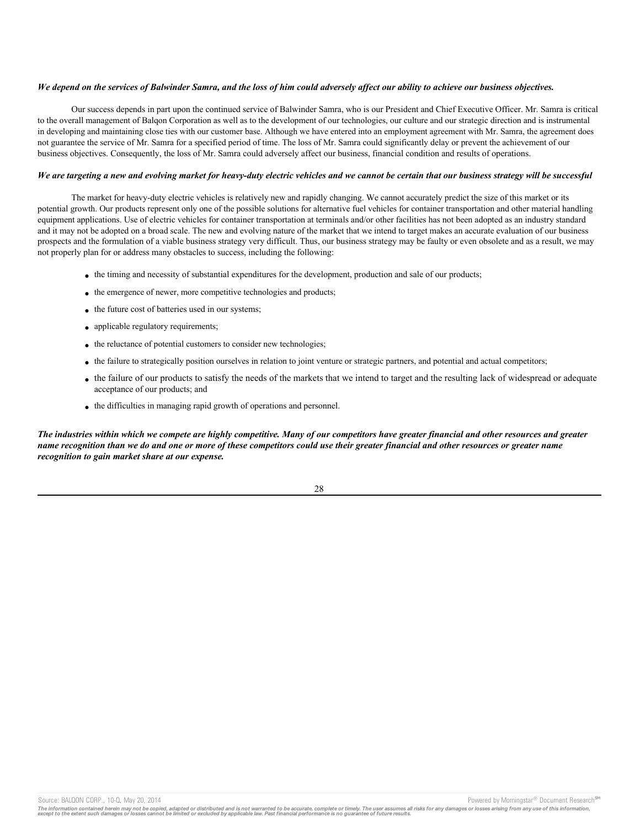### *We depend on the services of Balwinder Samra, and the loss of him could adversely affect our ability to achieve our business objectives.*

Our success depends in part upon the continued service of Balwinder Samra, who is our President and Chief Executive Officer. Mr. Samra is critical to the overall management of Balqon Corporation as well as to the development of our technologies, our culture and our strategic direction and is instrumental in developing and maintaining close ties with our customer base. Although we have entered into an employment agreement with Mr. Samra, the agreement does not guarantee the service of Mr. Samra for a specified period of time. The loss of Mr. Samra could significantly delay or prevent the achievement of our business objectives. Consequently, the loss of Mr. Samra could adversely affect our business, financial condition and results of operations.

#### *We are targeting a new and evolving market for heavy-duty electric vehicles and we cannot be certain that our business strategy will be successful*

The market for heavy-duty electric vehicles is relatively new and rapidly changing. We cannot accurately predict the size of this market or its potential growth. Our products represent only one of the possible solutions for alternative fuel vehicles for container transportation and other material handling equipment applications. Use of electric vehicles for container transportation at terminals and/or other facilities has not been adopted as an industry standard and it may not be adopted on a broad scale. The new and evolving nature of the market that we intend to target makes an accurate evaluation of our business prospects and the formulation of a viable business strategy very difficult. Thus, our business strategy may be faulty or even obsolete and as a result, we may not properly plan for or address many obstacles to success, including the following:

- the timing and necessity of substantial expenditures for the development, production and sale of our products;
- the emergence of newer, more competitive technologies and products;
- the future cost of batteries used in our systems;
- applicable regulatory requirements;
- the reluctance of potential customers to consider new technologies;
- the failure to strategically position ourselves in relation to joint venture or strategic partners, and potential and actual competitors;
- the failure of our products to satisfy the needs of the markets that we intend to target and the resulting lack of widespread or adequate acceptance of our products; and
- the difficulties in managing rapid growth of operations and personnel.

*The industries within which we compete are highly competitive. Many of our competitors have greater financial and other resources and greater name recognition than we do and one or more of these competitors could use their greater financial and other resources or greater name recognition to gain market share at our expense.*



Source: BALQON CORP., 10-Q, May 20, 2014 **Powered by Morningstar® Document Research** in Powered by Morningstar® Document Research in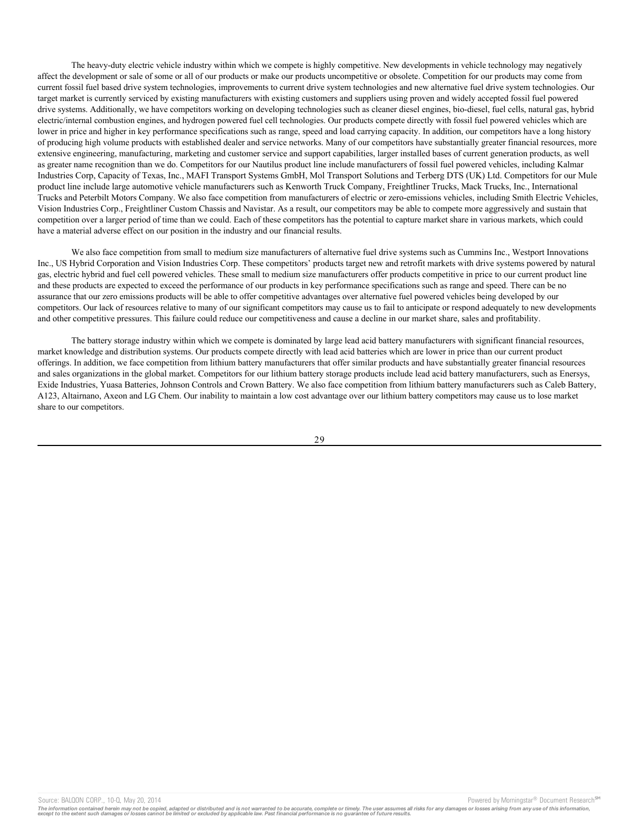The heavy-duty electric vehicle industry within which we compete is highly competitive. New developments in vehicle technology may negatively affect the development or sale of some or all of our products or make our products uncompetitive or obsolete. Competition for our products may come from current fossil fuel based drive system technologies, improvements to current drive system technologies and new alternative fuel drive system technologies. Our target market is currently serviced by existing manufacturers with existing customers and suppliers using proven and widely accepted fossil fuel powered drive systems. Additionally, we have competitors working on developing technologies such as cleaner diesel engines, bio-diesel, fuel cells, natural gas, hybrid electric/internal combustion engines, and hydrogen powered fuel cell technologies. Our products compete directly with fossil fuel powered vehicles which are lower in price and higher in key performance specifications such as range, speed and load carrying capacity. In addition, our competitors have a long history of producing high volume products with established dealer and service networks. Many of our competitors have substantially greater financial resources, more extensive engineering, manufacturing, marketing and customer service and support capabilities, larger installed bases of current generation products, as well as greater name recognition than we do. Competitors for our Nautilus product line include manufacturers of fossil fuel powered vehicles, including Kalmar Industries Corp, Capacity of Texas, Inc., MAFI Transport Systems GmbH, Mol Transport Solutions and Terberg DTS (UK) Ltd. Competitors for our Mule product line include large automotive vehicle manufacturers such as Kenworth Truck Company, Freightliner Trucks, Mack Trucks, Inc., International Trucks and Peterbilt Motors Company. We also face competition from manufacturers of electric or zero-emissions vehicles, including Smith Electric Vehicles, Vision Industries Corp., Freightliner Custom Chassis and Navistar. As a result, our competitors may be able to compete more aggressively and sustain that competition over a larger period of time than we could. Each of these competitors has the potential to capture market share in various markets, which could have a material adverse effect on our position in the industry and our financial results.

We also face competition from small to medium size manufacturers of alternative fuel drive systems such as Cummins Inc., Westport Innovations Inc., US Hybrid Corporation and Vision Industries Corp. These competitors' products target new and retrofit markets with drive systems powered by natural gas, electric hybrid and fuel cell powered vehicles. These small to medium size manufacturers offer products competitive in price to our current product line and these products are expected to exceed the performance of our products in key performance specifications such as range and speed. There can be no assurance that our zero emissions products will be able to offer competitive advantages over alternative fuel powered vehicles being developed by our competitors. Our lack of resources relative to many of our significant competitors may cause us to fail to anticipate or respond adequately to new developments and other competitive pressures. This failure could reduce our competitiveness and cause a decline in our market share, sales and profitability.

The battery storage industry within which we compete is dominated by large lead acid battery manufacturers with significant financial resources, market knowledge and distribution systems. Our products compete directly with lead acid batteries which are lower in price than our current product offerings. In addition, we face competition from lithium battery manufacturers that offer similar products and have substantially greater financial resources and sales organizations in the global market. Competitors for our lithium battery storage products include lead acid battery manufacturers, such as Enersys, Exide Industries, Yuasa Batteries, Johnson Controls and Crown Battery. We also face competition from lithium battery manufacturers such as Caleb Battery, A123, Altairnano, Axeon and LG Chem. Our inability to maintain a low cost advantage over our lithium battery competitors may cause us to lose market share to our competitors.

Source: BALQON CORP., 10-Q, May 20, 2014 **Powered by Morningstar® Document Research** Morningstar® Document Research Morningstar® Document Research Morningstar® Document Research Morningstar® Document Research Morningstar®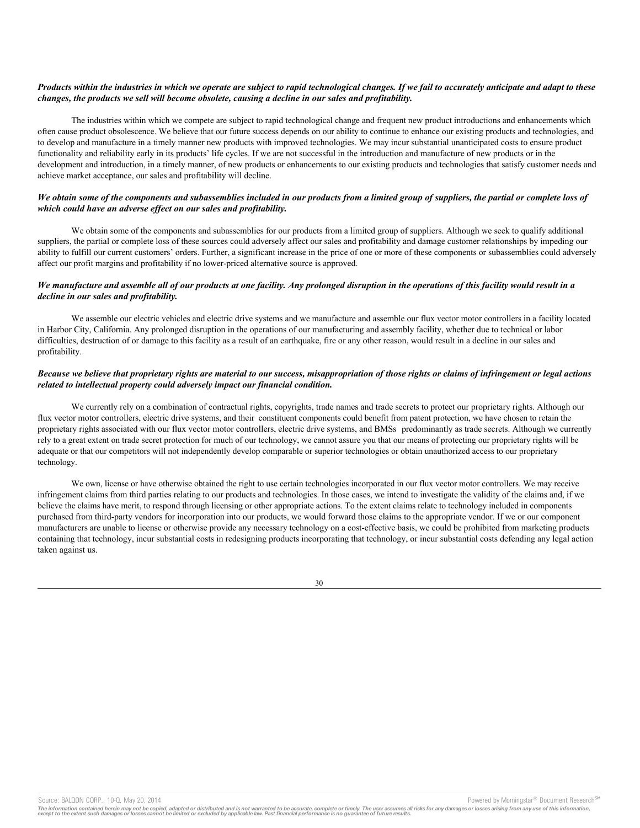### *Products within the industries in which we operate are subject to rapid technological changes. If we fail to accurately anticipate and adapt to these changes, the products we sell will become obsolete, causing a decline in our sales and profitability.*

The industries within which we compete are subject to rapid technological change and frequent new product introductions and enhancements which often cause product obsolescence. We believe that our future success depends on our ability to continue to enhance our existing products and technologies, and to develop and manufacture in a timely manner new products with improved technologies. We may incur substantial unanticipated costs to ensure product functionality and reliability early in its products' life cycles. If we are not successful in the introduction and manufacture of new products or in the development and introduction, in a timely manner, of new products or enhancements to our existing products and technologies that satisfy customer needs and achieve market acceptance, our sales and profitability will decline.

### *We obtain some of the components and subassemblies included in our products from a limited group of suppliers, the partial or complete loss of which could have an adverse effect on our sales and profitability.*

We obtain some of the components and subassemblies for our products from a limited group of suppliers. Although we seek to qualify additional suppliers, the partial or complete loss of these sources could adversely affect our sales and profitability and damage customer relationships by impeding our ability to fulfill our current customers' orders. Further, a significant increase in the price of one or more of these components or subassemblies could adversely affect our profit margins and profitability if no lower-priced alternative source is approved.

### *We manufacture and assemble all of our products at one facility. Any prolonged disruption in the operations of this facility would result in a decline in our sales and profitability.*

We assemble our electric vehicles and electric drive systems and we manufacture and assemble our flux vector motor controllers in a facility located in Harbor City, California. Any prolonged disruption in the operations of our manufacturing and assembly facility, whether due to technical or labor difficulties, destruction of or damage to this facility as a result of an earthquake, fire or any other reason, would result in a decline in our sales and profitability.

### *Because we believe that proprietary rights are material to our success, misappropriation of those rights or claims of infringement or legal actions related to intellectual property could adversely impact our financial condition.*

We currently rely on a combination of contractual rights, copyrights, trade names and trade secrets to protect our proprietary rights. Although our flux vector motor controllers, electric drive systems, and their constituent components could benefit from patent protection, we have chosen to retain the proprietary rights associated with our flux vector motor controllers, electric drive systems, and BMSs predominantly as trade secrets. Although we currently rely to a great extent on trade secret protection for much of our technology, we cannot assure you that our means of protecting our proprietary rights will be adequate or that our competitors will not independently develop comparable or superior technologies or obtain unauthorized access to our proprietary technology.

We own, license or have otherwise obtained the right to use certain technologies incorporated in our flux vector motor controllers. We may receive infringement claims from third parties relating to our products and technologies. In those cases, we intend to investigate the validity of the claims and, if we believe the claims have merit, to respond through licensing or other appropriate actions. To the extent claims relate to technology included in components purchased from third-party vendors for incorporation into our products, we would forward those claims to the appropriate vendor. If we or our component manufacturers are unable to license or otherwise provide any necessary technology on a cost-effective basis, we could be prohibited from marketing products containing that technology, incur substantial costs in redesigning products incorporating that technology, or incur substantial costs defending any legal action taken against us.

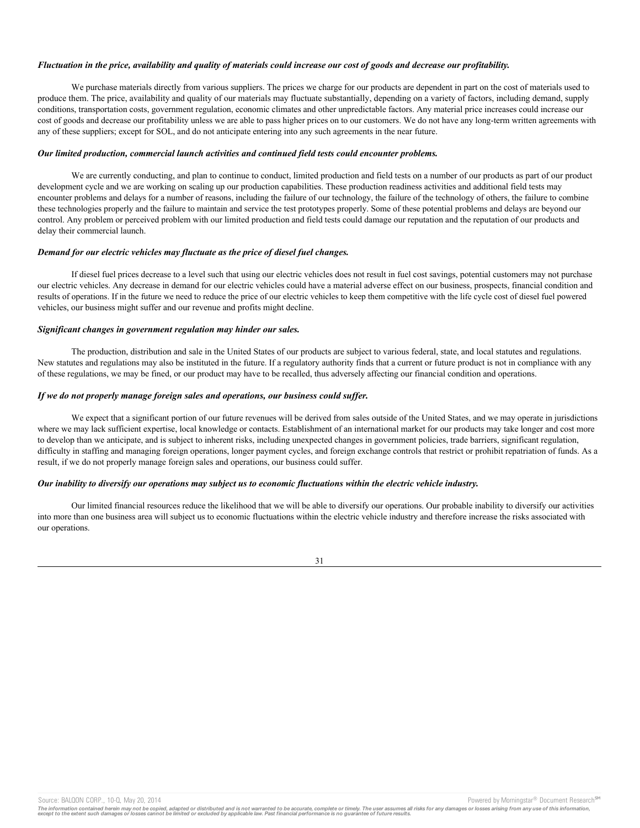#### *Fluctuation in the price, availability and quality of materials could increase our cost of goods and decrease our profitability.*

We purchase materials directly from various suppliers. The prices we charge for our products are dependent in part on the cost of materials used to produce them. The price, availability and quality of our materials may fluctuate substantially, depending on a variety of factors, including demand, supply conditions, transportation costs, government regulation, economic climates and other unpredictable factors. Any material price increases could increase our cost of goods and decrease our profitability unless we are able to pass higher prices on to our customers. We do not have any long-term written agreements with any of these suppliers; except for SOL, and do not anticipate entering into any such agreements in the near future.

### *Our limited production, commercial launch activities and continued field tests could encounter problems.*

We are currently conducting, and plan to continue to conduct, limited production and field tests on a number of our products as part of our product development cycle and we are working on scaling up our production capabilities. These production readiness activities and additional field tests may encounter problems and delays for a number of reasons, including the failure of our technology, the failure of the technology of others, the failure to combine these technologies properly and the failure to maintain and service the test prototypes properly. Some of these potential problems and delays are beyond our control. Any problem or perceived problem with our limited production and field tests could damage our reputation and the reputation of our products and delay their commercial launch.

### *Demand for our electric vehicles may fluctuate as the price of diesel fuel changes.*

If diesel fuel prices decrease to a level such that using our electric vehicles does not result in fuel cost savings, potential customers may not purchase our electric vehicles. Any decrease in demand for our electric vehicles could have a material adverse effect on our business, prospects, financial condition and results of operations. If in the future we need to reduce the price of our electric vehicles to keep them competitive with the life cycle cost of diesel fuel powered vehicles, our business might suffer and our revenue and profits might decline.

### *Significant changes in government regulation may hinder our sales.*

The production, distribution and sale in the United States of our products are subject to various federal, state, and local statutes and regulations. New statutes and regulations may also be instituted in the future. If a regulatory authority finds that a current or future product is not in compliance with any of these regulations, we may be fined, or our product may have to be recalled, thus adversely affecting our financial condition and operations.

### *If we do not properly manage foreign sales and operations, our business could suffer.*

We expect that a significant portion of our future revenues will be derived from sales outside of the United States, and we may operate in jurisdictions where we may lack sufficient expertise, local knowledge or contacts. Establishment of an international market for our products may take longer and cost more to develop than we anticipate, and is subject to inherent risks, including unexpected changes in government policies, trade barriers, significant regulation, difficulty in staffing and managing foreign operations, longer payment cycles, and foreign exchange controls that restrict or prohibit repatriation of funds. As a result, if we do not properly manage foreign sales and operations, our business could suffer.

### *Our inability to diversify our operations may subject us to economic fluctuations within the electric vehicle industry.*

Our limited financial resources reduce the likelihood that we will be able to diversify our operations. Our probable inability to diversify our activities into more than one business area will subject us to economic fluctuations within the electric vehicle industry and therefore increase the risks associated with our operations.

31

Source: BALQON CORP., 10-Q, May 20, 2014 **Powered by Morningstar® Document Research** Morningstar® Document Research Morningstar® Document Research Morningstar® Document Research Morningstar® Document Research Morningstar®

The information contained herein may not be copied, adapted or distributed and is not warranted to be accurate, complete or timely. The user assumes all risks for any damages or losses arising from any use of this informat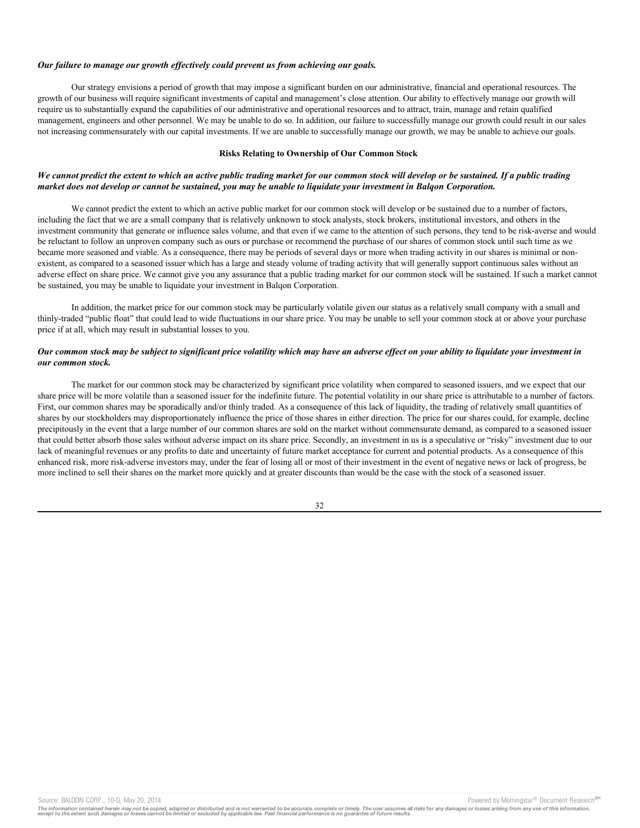#### *Our failure to manage our growth effectively could prevent us from achieving our goals.*

Our strategy envisions a period of growth that may impose a significant burden on our administrative, financial and operational resources. The growth of our business will require significant investments of capital and management's close attention. Our ability to effectively manage our growth will require us to substantially expand the capabilities of our administrative and operational resources and to attract, train, manage and retain qualified management, engineers and other personnel. We may be unable to do so. In addition, our failure to successfully manage our growth could result in our sales not increasing commensurately with our capital investments. If we are unable to successfully manage our growth, we may be unable to achieve our goals.

#### **Risks Relating to Ownership of Our Common Stock**

### *We cannot predict the extent to which an active public trading market for our common stock will develop or be sustained. If a public trading market does not develop or cannot be sustained, you may be unable to liquidate your investment in Balqon Corporation.*

We cannot predict the extent to which an active public market for our common stock will develop or be sustained due to a number of factors, including the fact that we are a small company that is relatively unknown to stock analysts, stock brokers, institutional investors, and others in the investment community that generate or influence sales volume, and that even if we came to the attention of such persons, they tend to be risk-averse and would be reluctant to follow an unproven company such as ours or purchase or recommend the purchase of our shares of common stock until such time as we became more seasoned and viable. As a consequence, there may be periods of several days or more when trading activity in our shares is minimal or nonexistent, as compared to a seasoned issuer which has a large and steady volume of trading activity that will generally support continuous sales without an adverse effect on share price. We cannot give you any assurance that a public trading market for our common stock will be sustained. If such a market cannot be sustained, you may be unable to liquidate your investment in Balqon Corporation.

In addition, the market price for our common stock may be particularly volatile given our status as a relatively small company with a small and thinly-traded "public float" that could lead to wide fluctuations in our share price. You may be unable to sell your common stock at or above your purchase price if at all, which may result in substantial losses to you.

### *Our common stock may be subject to significant price volatility which may have an adverse effect on your ability to liquidate your investment in our common stock.*

The market for our common stock may be characterized by significant price volatility when compared to seasoned issuers, and we expect that our share price will be more volatile than a seasoned issuer for the indefinite future. The potential volatility in our share price is attributable to a number of factors. First, our common shares may be sporadically and/or thinly traded. As a consequence of this lack of liquidity, the trading of relatively small quantities of shares by our stockholders may disproportionately influence the price of those shares in either direction. The price for our shares could, for example, decline precipitously in the event that a large number of our common shares are sold on the market without commensurate demand, as compared to a seasoned issuer that could better absorb those sales without adverse impact on its share price. Secondly, an investment in us is a speculative or "risky" investment due to our lack of meaningful revenues or any profits to date and uncertainty of future market acceptance for current and potential products. As a consequence of this enhanced risk, more risk-adverse investors may, under the fear of losing all or most of their investment in the event of negative news or lack of progress, be more inclined to sell their shares on the market more quickly and at greater discounts than would be the case with the stock of a seasoned issuer.

#### 32

Source: BALQON CORP., 10-Q, May 20, 2014 **Powered by Morningstar® Document Research** Morningstar® Document Research Morningstar® Document Research Morningstar® Document Research Morningstar® Document Research Morningstar®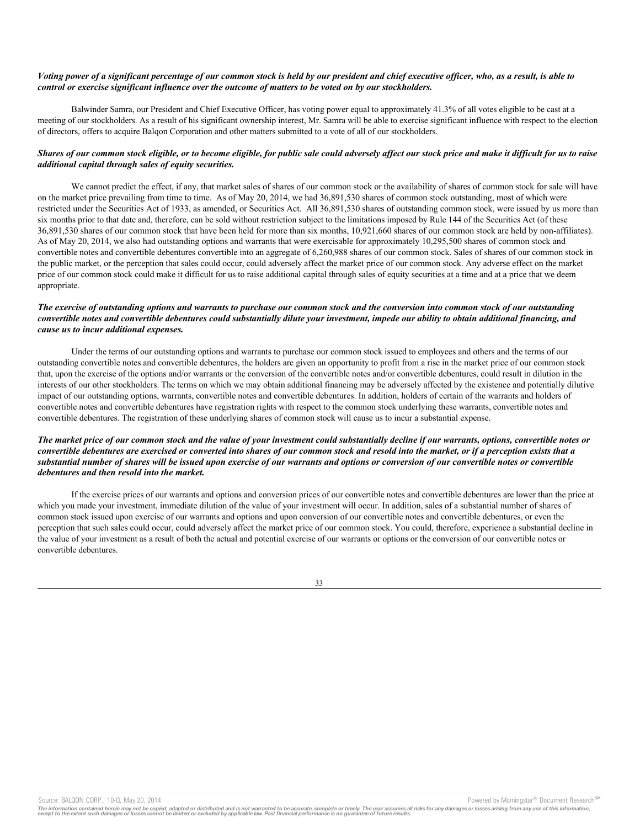### *Voting power of a significant percentage of our common stock is held by our president and chief executive officer, who, as a result, is able to control or exercise significant influence over the outcome of matters to be voted on by our stockholders.*

Balwinder Samra, our President and Chief Executive Officer, has voting power equal to approximately 41.3% of all votes eligible to be cast at a meeting of our stockholders. As a result of his significant ownership interest, Mr. Samra will be able to exercise significant influence with respect to the election of directors, offers to acquire Balqon Corporation and other matters submitted to a vote of all of our stockholders.

# *Shares of our common stock eligible, or to become eligible, for public sale could adversely affect our stock price and make it difficult for us to raise additional capital through sales of equity securities.*

We cannot predict the effect, if any, that market sales of shares of our common stock or the availability of shares of common stock for sale will have on the market price prevailing from time to time. As of May 20, 2014, we had 36,891,530 shares of common stock outstanding, most of which were restricted under the Securities Act of 1933, as amended, or Securities Act. All 36,891,530 shares of outstanding common stock, were issued by us more than six months prior to that date and, therefore, can be sold without restriction subject to the limitations imposed by Rule 144 of the Securities Act (of these 36,891,530 shares of our common stock that have been held for more than six months, 10,921,660 shares of our common stock are held by non-affiliates). As of May 20, 2014, we also had outstanding options and warrants that were exercisable for approximately 10,295,500 shares of common stock and convertible notes and convertible debentures convertible into an aggregate of 6,260,988 shares of our common stock. Sales of shares of our common stock in the public market, or the perception that sales could occur, could adversely affect the market price of our common stock. Any adverse effect on the market price of our common stock could make it difficult for us to raise additional capital through sales of equity securities at a time and at a price that we deem appropriate.

### *The exercise of outstanding options and warrants to purchase our common stock and the conversion into common stock of our outstanding convertible notes and convertible debentures could substantially dilute your investment, impede our ability to obtain additional financing, and cause us to incur additional expenses.*

Under the terms of our outstanding options and warrants to purchase our common stock issued to employees and others and the terms of our outstanding convertible notes and convertible debentures, the holders are given an opportunity to profit from a rise in the market price of our common stock that, upon the exercise of the options and/or warrants or the conversion of the convertible notes and/or convertible debentures, could result in dilution in the interests of our other stockholders. The terms on which we may obtain additional financing may be adversely affected by the existence and potentially dilutive impact of our outstanding options, warrants, convertible notes and convertible debentures. In addition, holders of certain of the warrants and holders of convertible notes and convertible debentures have registration rights with respect to the common stock underlying these warrants, convertible notes and convertible debentures. The registration of these underlying shares of common stock will cause us to incur a substantial expense.

### *The market price of our common stock and the value of your investment could substantially decline if our warrants, options, convertible notes or convertible debentures are exercised or converted into shares of our common stock and resold into the market, or if a perception exists that a substantial number of shares will be issued upon exercise of our warrants and options or conversion of our convertible notes or convertible debentures and then resold into the market.*

If the exercise prices of our warrants and options and conversion prices of our convertible notes and convertible debentures are lower than the price at which you made your investment, immediate dilution of the value of your investment will occur. In addition, sales of a substantial number of shares of common stock issued upon exercise of our warrants and options and upon conversion of our convertible notes and convertible debentures, or even the perception that such sales could occur, could adversely affect the market price of our common stock. You could, therefore, experience a substantial decline in the value of your investment as a result of both the actual and potential exercise of our warrants or options or the conversion of our convertible notes or convertible debentures.



Source: BALQON CORP., 10-Q, May 20, 2014 **Powered by Morningstar® Document Research** in Powered by Morningstar® Document Research in

The information contained herein may not be copied, adapted or distributed and is not warranted to be accurate, complete or timely. The user assumes all risks for any damages or losses arising from any use of this informat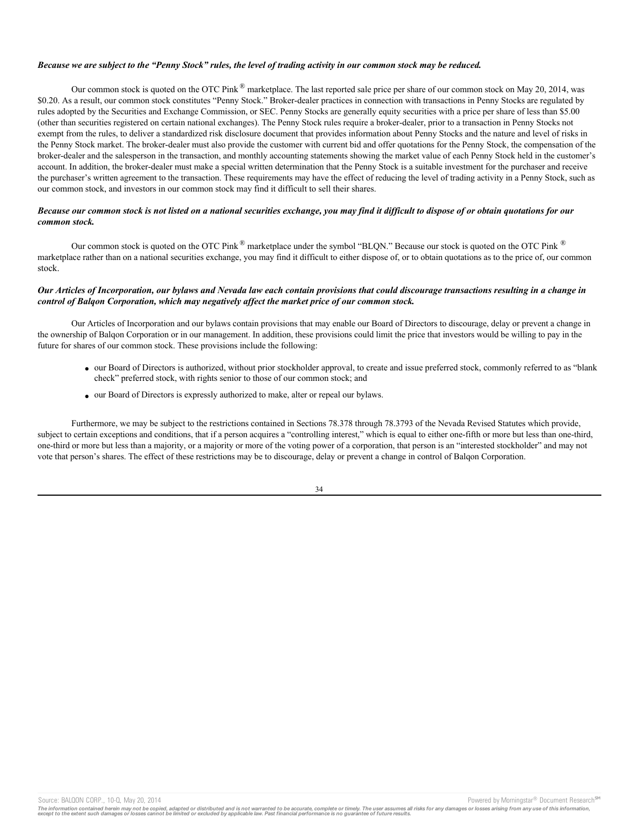#### *Because we are subject to the "Penny Stock" rules, the level of trading activity in our common stock may be reduced.*

Our common stock is quoted on the OTC Pink  $^{\circledR}$  marketplace. The last reported sale price per share of our common stock on May 20, 2014, was \$0.20. As a result, our common stock constitutes "Penny Stock." Broker-dealer practices in connection with transactions in Penny Stocks are regulated by rules adopted by the Securities and Exchange Commission, or SEC. Penny Stocks are generally equity securities with a price per share of less than \$5.00 (other than securities registered on certain national exchanges). The Penny Stock rules require a broker-dealer, prior to a transaction in Penny Stocks not exempt from the rules, to deliver a standardized risk disclosure document that provides information about Penny Stocks and the nature and level of risks in the Penny Stock market. The broker-dealer must also provide the customer with current bid and offer quotations for the Penny Stock, the compensation of the broker-dealer and the salesperson in the transaction, and monthly accounting statements showing the market value of each Penny Stock held in the customer's account. In addition, the broker-dealer must make a special written determination that the Penny Stock is a suitable investment for the purchaser and receive the purchaser's written agreement to the transaction. These requirements may have the effect of reducing the level of trading activity in a Penny Stock, such as our common stock, and investors in our common stock may find it difficult to sell their shares.

### *Because our common stock is not listed on a national securities exchange, you may find it difficult to dispose of or obtain quotations for our common stock.*

Our common stock is quoted on the OTC Pink  $^{\circledR}$  marketplace under the symbol "BLON." Because our stock is quoted on the OTC Pink  $^{\circledR}$ marketplace rather than on a national securities exchange, you may find it difficult to either dispose of, or to obtain quotations as to the price of, our common stock.

### *Our Articles of Incorporation, our bylaws and Nevada law each contain provisions that could discourage transactions resulting in a change in control of Balqon Corporation, which may negatively affect the market price of our common stock.*

Our Articles of Incorporation and our bylaws contain provisions that may enable our Board of Directors to discourage, delay or prevent a change in the ownership of Balqon Corporation or in our management. In addition, these provisions could limit the price that investors would be willing to pay in the future for shares of our common stock. These provisions include the following:

- · our Board of Directors is authorized, without prior stockholder approval, to create and issue preferred stock, commonly referred to as "blank check" preferred stock, with rights senior to those of our common stock; and
- · our Board of Directors is expressly authorized to make, alter or repeal our bylaws.

Furthermore, we may be subject to the restrictions contained in Sections 78.378 through 78.3793 of the Nevada Revised Statutes which provide, subject to certain exceptions and conditions, that if a person acquires a "controlling interest," which is equal to either one-fifth or more but less than one-third, one-third or more but less than a majority, or a majority or more of the voting power of a corporation, that person is an "interested stockholder" and may not vote that person's shares. The effect of these restrictions may be to discourage, delay or prevent a change in control of Balqon Corporation.

34

Source: BALQON CORP., 10-Q, May 20, 2014 **Powered by Morningstar® Document Research** Morningstar® Document Research Morningstar® Document Research Morningstar® Document Research Morningstar® Document Research Morningstar®

The information contained herein may not be copied, adapted or distributed and is not warranted to be accurate, complete or timely. The user assumes all risks for any damages or losses arising from any use of this informat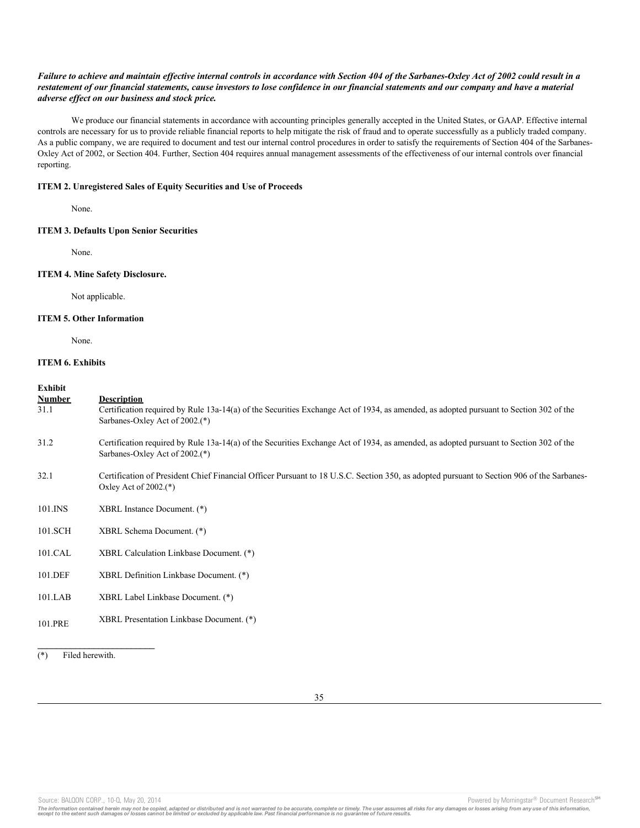## *Failure to achieve and maintain effective internal controls in accordance with Section 404 of the Sarbanes-Oxley Act of 2002 could result in a restatement of our financial statements, cause investors to lose confidence in our financial statements and our company and have a material adverse effect on our business and stock price.*

We produce our financial statements in accordance with accounting principles generally accepted in the United States, or GAAP. Effective internal controls are necessary for us to provide reliable financial reports to help mitigate the risk of fraud and to operate successfully as a publicly traded company. As a public company, we are required to document and test our internal control procedures in order to satisfy the requirements of Section 404 of the Sarbanes-Oxley Act of 2002, or Section 404. Further, Section 404 requires annual management assessments of the effectiveness of our internal controls over financial reporting.

### **ITEM 2. Unregistered Sales of Equity Securities and Use of Proceeds**

None.

### **ITEM 3. Defaults Upon Senior Securities**

None.

#### **ITEM 4. Mine Safety Disclosure.**

Not applicable.

### **ITEM 5. Other Information**

None.

# **ITEM 6. Exhibits**

# **Exhibit**

| -------<br><b>Number</b><br>31.1 | <b>Description</b><br>Certification required by Rule 13a-14(a) of the Securities Exchange Act of 1934, as amended, as adopted pursuant to Section 302 of the<br>Sarbanes-Oxley Act of 2002.(*) |
|----------------------------------|------------------------------------------------------------------------------------------------------------------------------------------------------------------------------------------------|
| 31.2                             | Certification required by Rule 13a-14(a) of the Securities Exchange Act of 1934, as amended, as adopted pursuant to Section 302 of the<br>Sarbanes-Oxley Act of 2002.(*)                       |
| 32.1                             | Certification of President Chief Financial Officer Pursuant to 18 U.S.C. Section 350, as adopted pursuant to Section 906 of the Sarbanes-<br>Oxley Act of $2002$ .(*)                          |
| 101.INS                          | XBRL Instance Document. (*)                                                                                                                                                                    |
| 101.SCH                          | XBRL Schema Document. (*)                                                                                                                                                                      |
| 101.CAL                          | XBRL Calculation Linkbase Document. (*)                                                                                                                                                        |
| 101.DEF                          | XBRL Definition Linkbase Document. (*)                                                                                                                                                         |
| $101$ .LAB                       | XBRL Label Linkbase Document. (*)                                                                                                                                                              |
| 101.PRE                          | XBRL Presentation Linkbase Document. (*)                                                                                                                                                       |
|                                  |                                                                                                                                                                                                |

(\*) Filed herewith.

**\_\_\_\_\_\_\_\_\_\_\_\_\_\_\_\_\_\_\_\_\_\_\_\_\_**

Source: BALQON CORP., 10-Q, May 20, 2014 **Powered by Morningstar® Document Research** and the second by Morningstar® Document Research **SM** 

The information contained herein may not be copied, adapted or distributed and is not warranted to be accurate, complete or timely. The user assumes all risks for any damages or losses arising from any use of this informat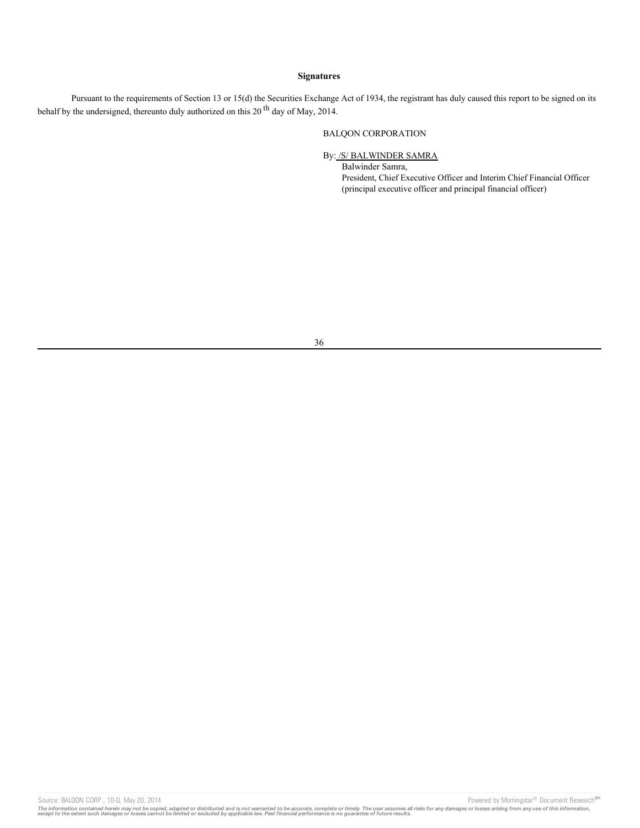## **Signatures**

Pursuant to the requirements of Section 13 or 15(d) the Securities Exchange Act of 1934, the registrant has duly caused this report to be signed on its behalf by the undersigned, thereunto duly authorized on this 20<sup>th</sup> day of May, 2014.

# BALQON CORPORATION

# By: /S/ BALWINDER SAMRA

Balwinder Samra, President, Chief Executive Officer and Interim Chief Financial Officer (principal executive officer and principal financial officer)

Source: BALQON CORP., 10-Q, May 20, 2014 2011 11:00 12:00 12:00 12:00 12:00 12:00 12:00 12:00 12:00 12:00 12:00 12:00 12:00 12:00 12:00 12:00 12:00 12:00 12:00 12:00 12:00 12:00 12:00 12:00 12:00 12:00 12:00 12:00 12:00 12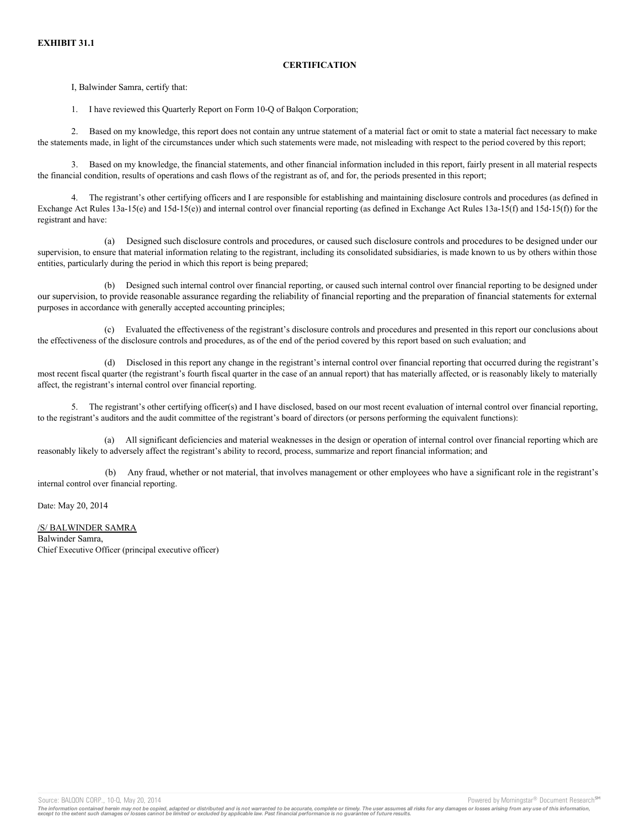# **CERTIFICATION**

I, Balwinder Samra, certify that:

1. I have reviewed this Quarterly Report on Form 10-Q of Balqon Corporation;

2. Based on my knowledge, this report does not contain any untrue statement of a material fact or omit to state a material fact necessary to make the statements made, in light of the circumstances under which such statements were made, not misleading with respect to the period covered by this report;

3. Based on my knowledge, the financial statements, and other financial information included in this report, fairly present in all material respects the financial condition, results of operations and cash flows of the registrant as of, and for, the periods presented in this report;

4. The registrant's other certifying officers and I are responsible for establishing and maintaining disclosure controls and procedures (as defined in Exchange Act Rules 13a-15(e) and 15d-15(e)) and internal control over financial reporting (as defined in Exchange Act Rules 13a-15(f) and 15d-15(f)) for the registrant and have:

(a) Designed such disclosure controls and procedures, or caused such disclosure controls and procedures to be designed under our supervision, to ensure that material information relating to the registrant, including its consolidated subsidiaries, is made known to us by others within those entities, particularly during the period in which this report is being prepared;

(b) Designed such internal control over financial reporting, or caused such internal control over financial reporting to be designed under our supervision, to provide reasonable assurance regarding the reliability of financial reporting and the preparation of financial statements for external purposes in accordance with generally accepted accounting principles;

(c) Evaluated the effectiveness of the registrant's disclosure controls and procedures and presented in this report our conclusions about the effectiveness of the disclosure controls and procedures, as of the end of the period covered by this report based on such evaluation; and

(d) Disclosed in this report any change in the registrant's internal control over financial reporting that occurred during the registrant's most recent fiscal quarter (the registrant's fourth fiscal quarter in the case of an annual report) that has materially affected, or is reasonably likely to materially affect, the registrant's internal control over financial reporting.

5. The registrant's other certifying officer(s) and I have disclosed, based on our most recent evaluation of internal control over financial reporting, to the registrant's auditors and the audit committee of the registrant's board of directors (or persons performing the equivalent functions):

(a) All significant deficiencies and material weaknesses in the design or operation of internal control over financial reporting which are reasonably likely to adversely affect the registrant's ability to record, process, summarize and report financial information; and

(b) Any fraud, whether or not material, that involves management or other employees who have a significant role in the registrant's internal control over financial reporting.

Date: May 20, 2014

/S/ BALWINDER SAMRA Balwinder Samra, Chief Executive Officer (principal executive officer)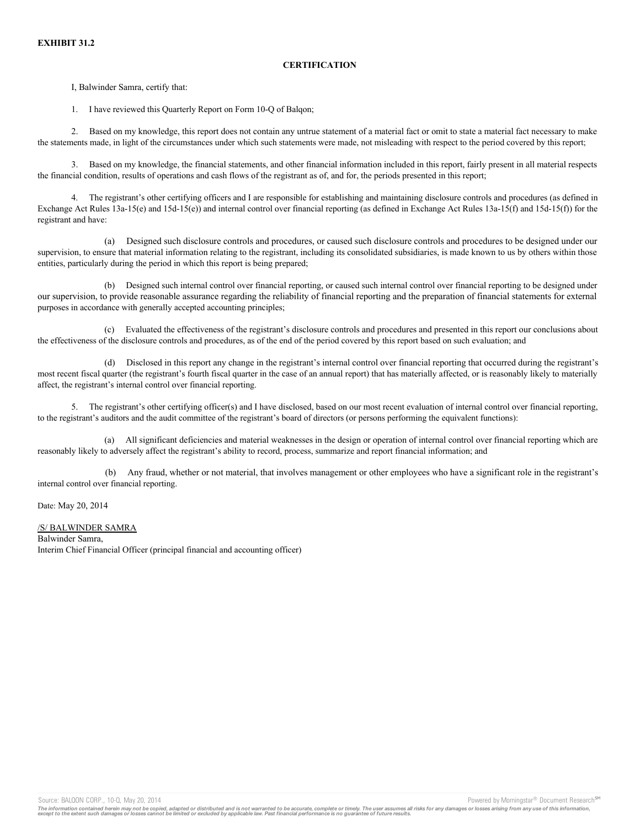# **CERTIFICATION**

I, Balwinder Samra, certify that:

1. I have reviewed this Quarterly Report on Form 10-Q of Balqon;

2. Based on my knowledge, this report does not contain any untrue statement of a material fact or omit to state a material fact necessary to make the statements made, in light of the circumstances under which such statements were made, not misleading with respect to the period covered by this report;

3. Based on my knowledge, the financial statements, and other financial information included in this report, fairly present in all material respects the financial condition, results of operations and cash flows of the registrant as of, and for, the periods presented in this report;

4. The registrant's other certifying officers and I are responsible for establishing and maintaining disclosure controls and procedures (as defined in Exchange Act Rules 13a-15(e) and 15d-15(e)) and internal control over financial reporting (as defined in Exchange Act Rules 13a-15(f) and 15d-15(f)) for the registrant and have:

(a) Designed such disclosure controls and procedures, or caused such disclosure controls and procedures to be designed under our supervision, to ensure that material information relating to the registrant, including its consolidated subsidiaries, is made known to us by others within those entities, particularly during the period in which this report is being prepared;

(b) Designed such internal control over financial reporting, or caused such internal control over financial reporting to be designed under our supervision, to provide reasonable assurance regarding the reliability of financial reporting and the preparation of financial statements for external purposes in accordance with generally accepted accounting principles;

(c) Evaluated the effectiveness of the registrant's disclosure controls and procedures and presented in this report our conclusions about the effectiveness of the disclosure controls and procedures, as of the end of the period covered by this report based on such evaluation; and

(d) Disclosed in this report any change in the registrant's internal control over financial reporting that occurred during the registrant's most recent fiscal quarter (the registrant's fourth fiscal quarter in the case of an annual report) that has materially affected, or is reasonably likely to materially affect, the registrant's internal control over financial reporting.

5. The registrant's other certifying officer(s) and I have disclosed, based on our most recent evaluation of internal control over financial reporting, to the registrant's auditors and the audit committee of the registrant's board of directors (or persons performing the equivalent functions):

(a) All significant deficiencies and material weaknesses in the design or operation of internal control over financial reporting which are reasonably likely to adversely affect the registrant's ability to record, process, summarize and report financial information; and

(b) Any fraud, whether or not material, that involves management or other employees who have a significant role in the registrant's internal control over financial reporting.

Date: May 20, 2014

# /S/ BALWINDER SAMRA

Balwinder Samra, Interim Chief Financial Officer (principal financial and accounting officer)